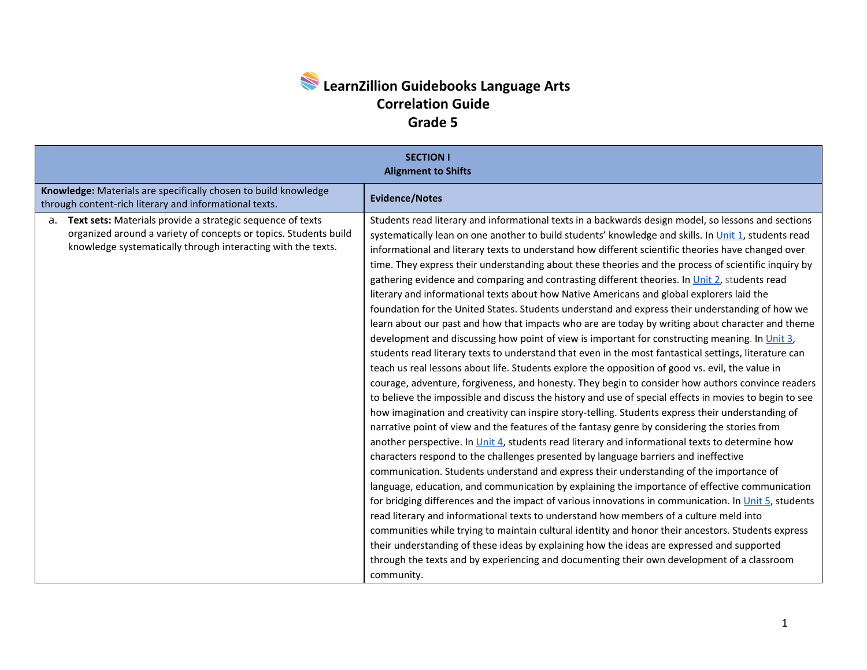## **LearnZillion Guidebooks Language Arts Correlation Guide Grade 5**

| <b>SECTION I</b><br><b>Alignment to Shifts</b>                                                                                                                                                       |                                                                                                                                                                                                                                                                                                                                                                                                                                                                                                                                                                                                                                                                                                                                                                                                                                                                                                                                                                                                                                                                                                                                                                                                                                                                                                                                                                                                                                                                                                                                                                                                                                                                                                                                                                                                                                                                                                                                                                                                                                                                                                                                                                                                                                                                                                                                                                                                                                                                             |  |
|------------------------------------------------------------------------------------------------------------------------------------------------------------------------------------------------------|-----------------------------------------------------------------------------------------------------------------------------------------------------------------------------------------------------------------------------------------------------------------------------------------------------------------------------------------------------------------------------------------------------------------------------------------------------------------------------------------------------------------------------------------------------------------------------------------------------------------------------------------------------------------------------------------------------------------------------------------------------------------------------------------------------------------------------------------------------------------------------------------------------------------------------------------------------------------------------------------------------------------------------------------------------------------------------------------------------------------------------------------------------------------------------------------------------------------------------------------------------------------------------------------------------------------------------------------------------------------------------------------------------------------------------------------------------------------------------------------------------------------------------------------------------------------------------------------------------------------------------------------------------------------------------------------------------------------------------------------------------------------------------------------------------------------------------------------------------------------------------------------------------------------------------------------------------------------------------------------------------------------------------------------------------------------------------------------------------------------------------------------------------------------------------------------------------------------------------------------------------------------------------------------------------------------------------------------------------------------------------------------------------------------------------------------------------------------------------|--|
| Knowledge: Materials are specifically chosen to build knowledge<br>through content-rich literary and informational texts.                                                                            | <b>Evidence/Notes</b>                                                                                                                                                                                                                                                                                                                                                                                                                                                                                                                                                                                                                                                                                                                                                                                                                                                                                                                                                                                                                                                                                                                                                                                                                                                                                                                                                                                                                                                                                                                                                                                                                                                                                                                                                                                                                                                                                                                                                                                                                                                                                                                                                                                                                                                                                                                                                                                                                                                       |  |
| Text sets: Materials provide a strategic sequence of texts<br>а.<br>organized around a variety of concepts or topics. Students build<br>knowledge systematically through interacting with the texts. | Students read literary and informational texts in a backwards design model, so lessons and sections<br>systematically lean on one another to build students' knowledge and skills. In Unit 1, students read<br>informational and literary texts to understand how different scientific theories have changed over<br>time. They express their understanding about these theories and the process of scientific inquiry by<br>gathering evidence and comparing and contrasting different theories. In Unit 2, students read<br>literary and informational texts about how Native Americans and global explorers laid the<br>foundation for the United States. Students understand and express their understanding of how we<br>learn about our past and how that impacts who are are today by writing about character and theme<br>development and discussing how point of view is important for constructing meaning. In Unit 3,<br>students read literary texts to understand that even in the most fantastical settings, literature can<br>teach us real lessons about life. Students explore the opposition of good vs. evil, the value in<br>courage, adventure, forgiveness, and honesty. They begin to consider how authors convince readers<br>to believe the impossible and discuss the history and use of special effects in movies to begin to see<br>how imagination and creativity can inspire story-telling. Students express their understanding of<br>narrative point of view and the features of the fantasy genre by considering the stories from<br>another perspective. In Unit 4, students read literary and informational texts to determine how<br>characters respond to the challenges presented by language barriers and ineffective<br>communication. Students understand and express their understanding of the importance of<br>language, education, and communication by explaining the importance of effective communication<br>for bridging differences and the impact of various innovations in communication. In Unit 5, students<br>read literary and informational texts to understand how members of a culture meld into<br>communities while trying to maintain cultural identity and honor their ancestors. Students express<br>their understanding of these ideas by explaining how the ideas are expressed and supported<br>through the texts and by experiencing and documenting their own development of a classroom<br>community. |  |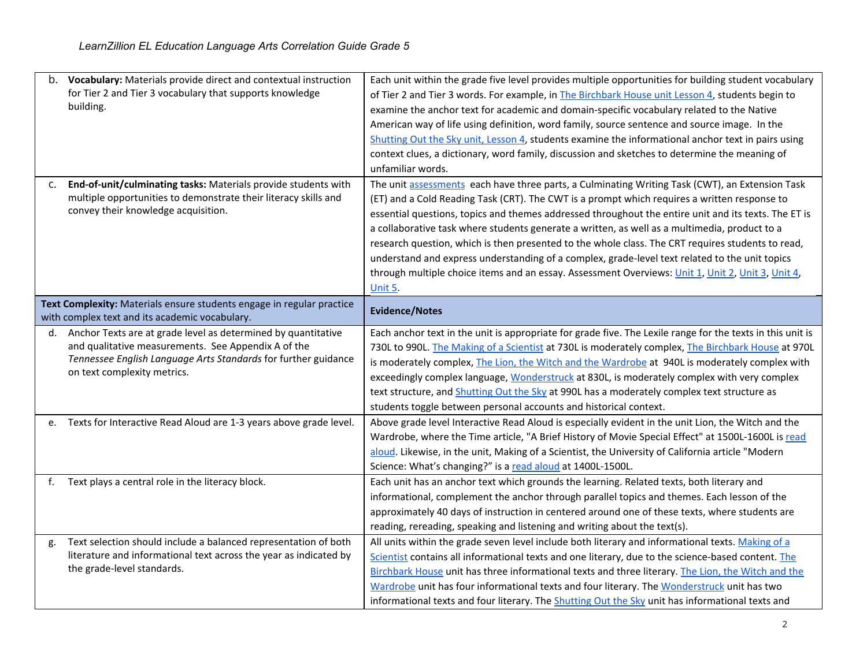| b. | Vocabulary: Materials provide direct and contextual instruction<br>for Tier 2 and Tier 3 vocabulary that supports knowledge<br>building.                                                                              | Each unit within the grade five level provides multiple opportunities for building student vocabulary<br>of Tier 2 and Tier 3 words. For example, in The Birchbark House unit Lesson 4, students begin to<br>examine the anchor text for academic and domain-specific vocabulary related to the Native<br>American way of life using definition, word family, source sentence and source image. In the<br>Shutting Out the Sky unit, Lesson 4, students examine the informational anchor text in pairs using<br>context clues, a dictionary, word family, discussion and sketches to determine the meaning of<br>unfamiliar words.                                                                                                      |
|----|-----------------------------------------------------------------------------------------------------------------------------------------------------------------------------------------------------------------------|-----------------------------------------------------------------------------------------------------------------------------------------------------------------------------------------------------------------------------------------------------------------------------------------------------------------------------------------------------------------------------------------------------------------------------------------------------------------------------------------------------------------------------------------------------------------------------------------------------------------------------------------------------------------------------------------------------------------------------------------|
| c. | End-of-unit/culminating tasks: Materials provide students with<br>multiple opportunities to demonstrate their literacy skills and<br>convey their knowledge acquisition.                                              | The unit assessments each have three parts, a Culminating Writing Task (CWT), an Extension Task<br>(ET) and a Cold Reading Task (CRT). The CWT is a prompt which requires a written response to<br>essential questions, topics and themes addressed throughout the entire unit and its texts. The ET is<br>a collaborative task where students generate a written, as well as a multimedia, product to a<br>research question, which is then presented to the whole class. The CRT requires students to read,<br>understand and express understanding of a complex, grade-level text related to the unit topics<br>through multiple choice items and an essay. Assessment Overviews: <i>Unit 1, Unit 2, Unit 3, Unit 4</i> ,<br>Unit 5. |
|    | Text Complexity: Materials ensure students engage in regular practice<br>with complex text and its academic vocabulary.                                                                                               | <b>Evidence/Notes</b>                                                                                                                                                                                                                                                                                                                                                                                                                                                                                                                                                                                                                                                                                                                   |
| d. | Anchor Texts are at grade level as determined by quantitative<br>and qualitative measurements. See Appendix A of the<br>Tennessee English Language Arts Standards for further guidance<br>on text complexity metrics. | Each anchor text in the unit is appropriate for grade five. The Lexile range for the texts in this unit is<br>730L to 990L. The Making of a Scientist at 730L is moderately complex, The Birchbark House at 970L<br>is moderately complex, The Lion, the Witch and the Wardrobe at 940L is moderately complex with<br>exceedingly complex language, Wonderstruck at 830L, is moderately complex with very complex<br>text structure, and Shutting Out the Sky at 990L has a moderately complex text structure as                                                                                                                                                                                                                        |
|    |                                                                                                                                                                                                                       | students toggle between personal accounts and historical context.                                                                                                                                                                                                                                                                                                                                                                                                                                                                                                                                                                                                                                                                       |
| e. | Texts for Interactive Read Aloud are 1-3 years above grade level.                                                                                                                                                     | Above grade level Interactive Read Aloud is especially evident in the unit Lion, the Witch and the<br>Wardrobe, where the Time article, "A Brief History of Movie Special Effect" at 1500L-1600L is read<br>aloud. Likewise, in the unit, Making of a Scientist, the University of California article "Modern<br>Science: What's changing?" is a read aloud at 1400L-1500L.                                                                                                                                                                                                                                                                                                                                                             |
| f. | Text plays a central role in the literacy block.                                                                                                                                                                      | Each unit has an anchor text which grounds the learning. Related texts, both literary and<br>informational, complement the anchor through parallel topics and themes. Each lesson of the<br>approximately 40 days of instruction in centered around one of these texts, where students are<br>reading, rereading, speaking and listening and writing about the text(s).                                                                                                                                                                                                                                                                                                                                                                 |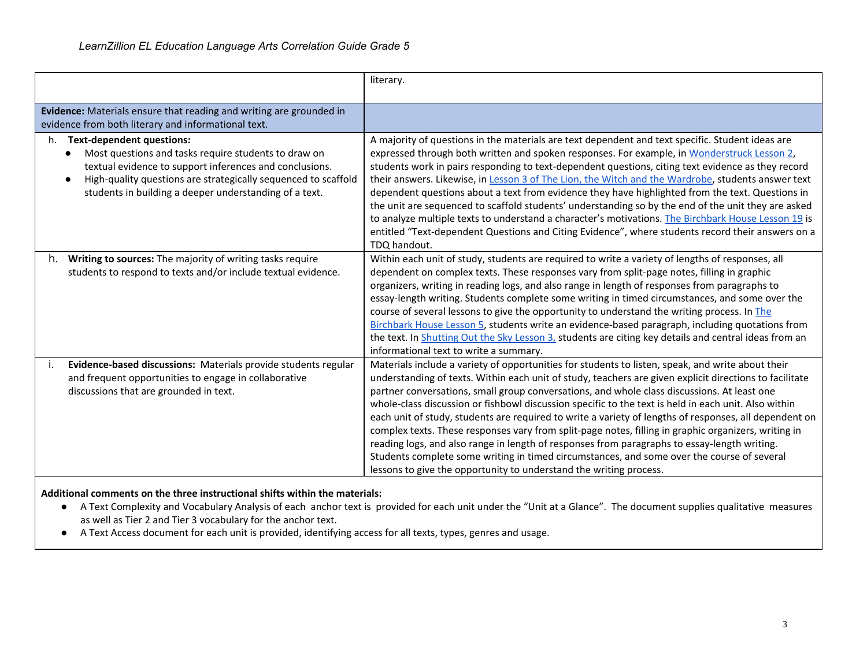|                                                                                                                                                                                                                                                                                       | literary.                                                                                                                                                                                                                                                                                                                                                                                                                                                                                                                                                                                                                                                                                                                                                                                                                                                                                                 |
|---------------------------------------------------------------------------------------------------------------------------------------------------------------------------------------------------------------------------------------------------------------------------------------|-----------------------------------------------------------------------------------------------------------------------------------------------------------------------------------------------------------------------------------------------------------------------------------------------------------------------------------------------------------------------------------------------------------------------------------------------------------------------------------------------------------------------------------------------------------------------------------------------------------------------------------------------------------------------------------------------------------------------------------------------------------------------------------------------------------------------------------------------------------------------------------------------------------|
| Evidence: Materials ensure that reading and writing are grounded in<br>evidence from both literary and informational text.                                                                                                                                                            |                                                                                                                                                                                                                                                                                                                                                                                                                                                                                                                                                                                                                                                                                                                                                                                                                                                                                                           |
| <b>Text-dependent questions:</b><br>h.<br>Most questions and tasks require students to draw on<br>textual evidence to support inferences and conclusions.<br>High-quality questions are strategically sequenced to scaffold<br>students in building a deeper understanding of a text. | A majority of questions in the materials are text dependent and text specific. Student ideas are<br>expressed through both written and spoken responses. For example, in Wonderstruck Lesson 2,<br>students work in pairs responding to text-dependent questions, citing text evidence as they record<br>their answers. Likewise, in Lesson 3 of The Lion, the Witch and the Wardrobe, students answer text<br>dependent questions about a text from evidence they have highlighted from the text. Questions in<br>the unit are sequenced to scaffold students' understanding so by the end of the unit they are asked<br>to analyze multiple texts to understand a character's motivations. The Birchbark House Lesson 19 is<br>entitled "Text-dependent Questions and Citing Evidence", where students record their answers on a<br>TDQ handout.                                                        |
| Writing to sources: The majority of writing tasks require<br>h.<br>students to respond to texts and/or include textual evidence.                                                                                                                                                      | Within each unit of study, students are required to write a variety of lengths of responses, all<br>dependent on complex texts. These responses vary from split-page notes, filling in graphic<br>organizers, writing in reading logs, and also range in length of responses from paragraphs to<br>essay-length writing. Students complete some writing in timed circumstances, and some over the<br>course of several lessons to give the opportunity to understand the writing process. In The<br>Birchbark House Lesson 5, students write an evidence-based paragraph, including quotations from<br>the text. In Shutting Out the Sky Lesson 3, students are citing key details and central ideas from an<br>informational text to write a summary.                                                                                                                                                    |
| Evidence-based discussions: Materials provide students regular<br>and frequent opportunities to engage in collaborative<br>discussions that are grounded in text.                                                                                                                     | Materials include a variety of opportunities for students to listen, speak, and write about their<br>understanding of texts. Within each unit of study, teachers are given explicit directions to facilitate<br>partner conversations, small group conversations, and whole class discussions. At least one<br>whole-class discussion or fishbowl discussion specific to the text is held in each unit. Also within<br>each unit of study, students are required to write a variety of lengths of responses, all dependent on<br>complex texts. These responses vary from split-page notes, filling in graphic organizers, writing in<br>reading logs, and also range in length of responses from paragraphs to essay-length writing.<br>Students complete some writing in timed circumstances, and some over the course of several<br>lessons to give the opportunity to understand the writing process. |

## **Additional comments on the three instructional shifts within the materials:**

- A Text Complexity and Vocabulary Analysis of each anchor text is provided for each unit under the "Unit at a Glance". The document supplies qualitative measures as well as Tier 2 and Tier 3 vocabulary for the anchor text.
- A Text Access document for each unit is provided, identifying access for all texts, types, genres and usage.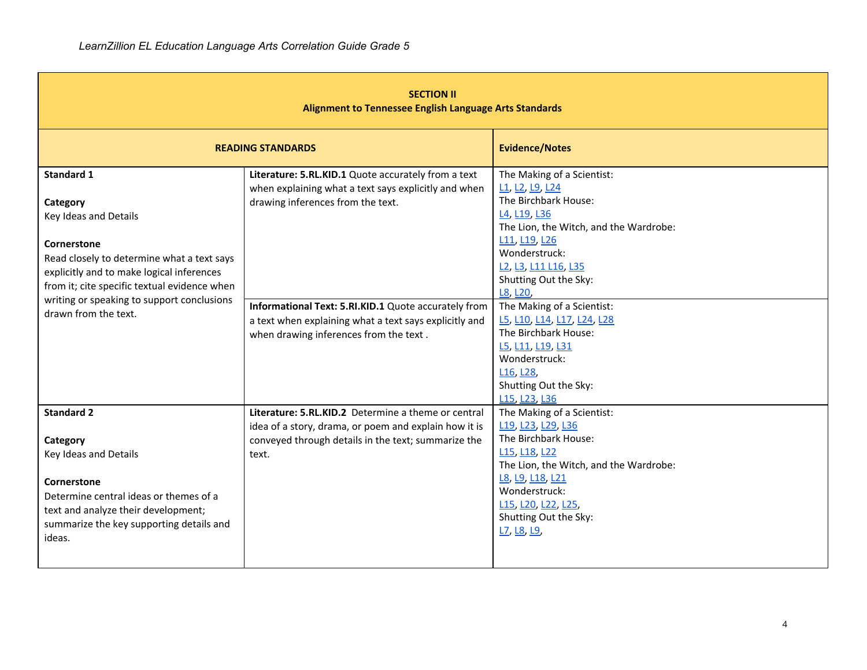| <b>SECTION II</b><br><b>Alignment to Tennessee English Language Arts Standards</b>                                                                                                                                                                                                     |                                                                                                                                                                                                                                                                                                              |                                                                                                                                                                                                                                                                                                                                                                                                                                                                                              |  |
|----------------------------------------------------------------------------------------------------------------------------------------------------------------------------------------------------------------------------------------------------------------------------------------|--------------------------------------------------------------------------------------------------------------------------------------------------------------------------------------------------------------------------------------------------------------------------------------------------------------|----------------------------------------------------------------------------------------------------------------------------------------------------------------------------------------------------------------------------------------------------------------------------------------------------------------------------------------------------------------------------------------------------------------------------------------------------------------------------------------------|--|
|                                                                                                                                                                                                                                                                                        | <b>READING STANDARDS</b>                                                                                                                                                                                                                                                                                     | <b>Evidence/Notes</b>                                                                                                                                                                                                                                                                                                                                                                                                                                                                        |  |
| <b>Standard 1</b><br>Category<br>Key Ideas and Details<br>Cornerstone<br>Read closely to determine what a text says<br>explicitly and to make logical inferences<br>from it; cite specific textual evidence when<br>writing or speaking to support conclusions<br>drawn from the text. | Literature: 5.RL.KID.1 Quote accurately from a text<br>when explaining what a text says explicitly and when<br>drawing inferences from the text.<br>Informational Text: 5.RI.KID.1 Quote accurately from<br>a text when explaining what a text says explicitly and<br>when drawing inferences from the text. | The Making of a Scientist:<br>L1, L2, L9, L24<br>The Birchbark House:<br>L <sub>4</sub> , L <sub>19</sub> , L <sub>36</sub><br>The Lion, the Witch, and the Wardrobe:<br>L11, L19, L26<br>Wonderstruck:<br>L2, L3, L11 L16, L35<br>Shutting Out the Sky:<br>L8, L20,<br>The Making of a Scientist:<br>L5, L10, L14, L17, L24, L28<br>The Birchbark House:<br>L5, L11, L19, L31<br>Wonderstruck:<br>L16, L28,<br>Shutting Out the Sky:<br>L <sub>15</sub> , L <sub>23</sub> , L <sub>36</sub> |  |
| <b>Standard 2</b><br>Category<br>Key Ideas and Details<br>Cornerstone<br>Determine central ideas or themes of a<br>text and analyze their development;<br>summarize the key supporting details and<br>ideas.                                                                           | Literature: 5.RL.KID.2 Determine a theme or central<br>idea of a story, drama, or poem and explain how it is<br>conveyed through details in the text; summarize the<br>text.                                                                                                                                 | The Making of a Scientist:<br>L19, L23, L29, L36<br>The Birchbark House:<br>L <sub>15</sub> , L <sub>18</sub> , L <sub>22</sub><br>The Lion, the Witch, and the Wardrobe:<br>L8, L9, L18, L21<br>Wonderstruck:<br>L15, L20, L22, L25,<br>Shutting Out the Sky:<br>L7, L8, L9,                                                                                                                                                                                                                |  |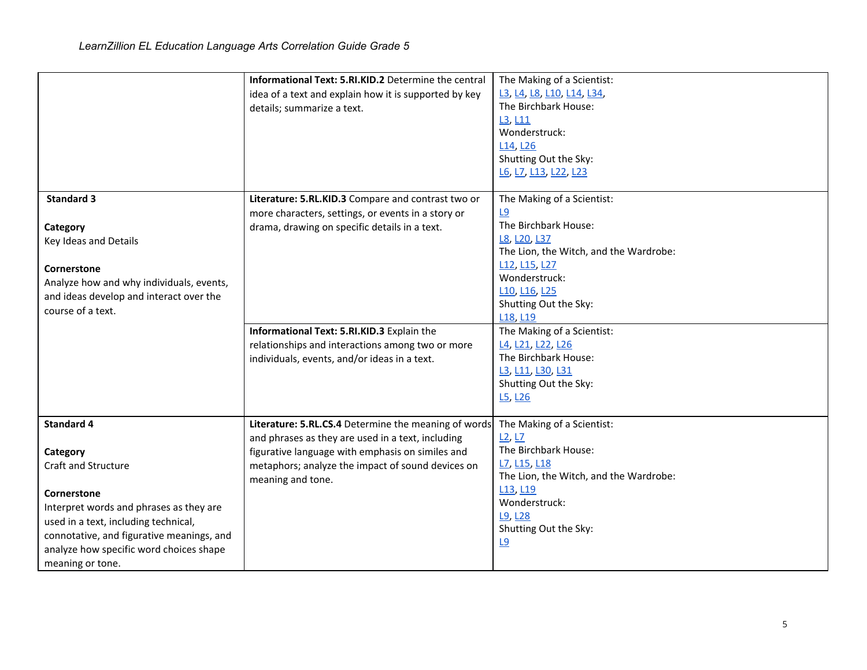|                                                                                                                                                                                                                                                                    | Informational Text: 5.RI.KID.2 Determine the central<br>idea of a text and explain how it is supported by key<br>details; summarize a text.                                                                                             | The Making of a Scientist:<br>L3, L4, L8, L10, L14, L34,<br>The Birchbark House:<br>L3, L11<br>Wonderstruck:<br>L <sub>14</sub> , L <sub>26</sub><br>Shutting Out the Sky:<br>L6, L7, L13, L22, L23                                        |
|--------------------------------------------------------------------------------------------------------------------------------------------------------------------------------------------------------------------------------------------------------------------|-----------------------------------------------------------------------------------------------------------------------------------------------------------------------------------------------------------------------------------------|--------------------------------------------------------------------------------------------------------------------------------------------------------------------------------------------------------------------------------------------|
| <b>Standard 3</b><br>Category<br>Key Ideas and Details<br>Cornerstone<br>Analyze how and why individuals, events,<br>and ideas develop and interact over the<br>course of a text.                                                                                  | Literature: 5.RL.KID.3 Compare and contrast two or<br>more characters, settings, or events in a story or<br>drama, drawing on specific details in a text.                                                                               | The Making of a Scientist:<br><u>L9</u><br>The Birchbark House:<br>L8, L20, L37<br>The Lion, the Witch, and the Wardrobe:<br>L12, L15, L27<br>Wonderstruck:<br>L10, L16, L25<br>Shutting Out the Sky:<br>L <sub>18</sub> , L <sub>19</sub> |
|                                                                                                                                                                                                                                                                    | Informational Text: 5.RI.KID.3 Explain the<br>relationships and interactions among two or more<br>individuals, events, and/or ideas in a text.                                                                                          | The Making of a Scientist:<br>L4, L21, L22, L26<br>The Birchbark House:<br>L3, L11, L30, L31<br>Shutting Out the Sky:<br>L <sub>5</sub> , L <sub>26</sub>                                                                                  |
| <b>Standard 4</b><br>Category<br>Craft and Structure<br>Cornerstone<br>Interpret words and phrases as they are<br>used in a text, including technical,<br>connotative, and figurative meanings, and<br>analyze how specific word choices shape<br>meaning or tone. | Literature: 5.RL.CS.4 Determine the meaning of words<br>and phrases as they are used in a text, including<br>figurative language with emphasis on similes and<br>metaphors; analyze the impact of sound devices on<br>meaning and tone. | The Making of a Scientist:<br>L2, L7<br>The Birchbark House:<br>L7, L15, L18<br>The Lion, the Witch, and the Wardrobe:<br>L <sub>13</sub> , L <sub>19</sub><br>Wonderstruck:<br>L9, L28<br>Shutting Out the Sky:<br><u>L9</u>              |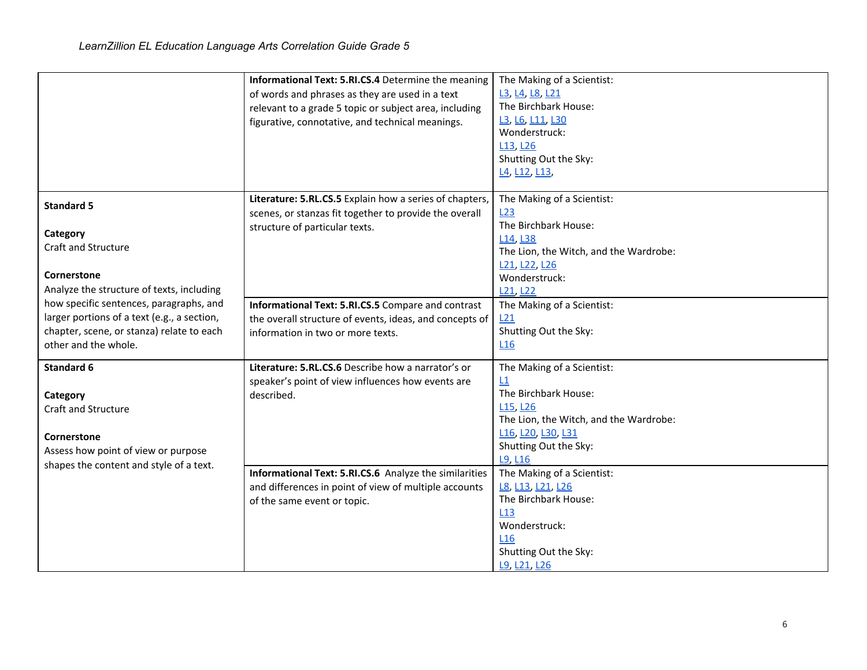|                                                                                                                                                             | Informational Text: 5.RI.CS.4 Determine the meaning<br>of words and phrases as they are used in a text<br>relevant to a grade 5 topic or subject area, including<br>figurative, connotative, and technical meanings. | The Making of a Scientist:<br>L3, L4, L8, L21<br>The Birchbark House:<br>L3, L6, L11, L30<br>Wonderstruck:<br>L <sub>13</sub> , L <sub>26</sub><br>Shutting Out the Sky:<br>L4, L12, L13,         |
|-------------------------------------------------------------------------------------------------------------------------------------------------------------|----------------------------------------------------------------------------------------------------------------------------------------------------------------------------------------------------------------------|---------------------------------------------------------------------------------------------------------------------------------------------------------------------------------------------------|
| <b>Standard 5</b><br>Category<br>Craft and Structure<br>Cornerstone<br>Analyze the structure of texts, including                                            | Literature: 5.RL.CS.5 Explain how a series of chapters,<br>scenes, or stanzas fit together to provide the overall<br>structure of particular texts.                                                                  | The Making of a Scientist:<br>L23<br>The Birchbark House:<br>L <sub>14</sub> , L <sub>38</sub><br>The Lion, the Witch, and the Wardrobe:<br>L21, L22, L26<br>Wonderstruck:<br>L21, L22            |
| how specific sentences, paragraphs, and<br>larger portions of a text (e.g., a section,<br>chapter, scene, or stanza) relate to each<br>other and the whole. | Informational Text: 5.RI.CS.5 Compare and contrast<br>the overall structure of events, ideas, and concepts of<br>information in two or more texts.                                                                   | The Making of a Scientist:<br>L21<br>Shutting Out the Sky:<br>L16                                                                                                                                 |
| Standard 6<br>Category<br>Craft and Structure<br>Cornerstone<br>Assess how point of view or purpose<br>shapes the content and style of a text.              | Literature: 5.RL.CS.6 Describe how a narrator's or<br>speaker's point of view influences how events are<br>described.                                                                                                | The Making of a Scientist:<br>L1<br>The Birchbark House:<br>L <sub>15</sub> , L <sub>26</sub><br>The Lion, the Witch, and the Wardrobe:<br>L16, L20, L30, L31<br>Shutting Out the Sky:<br>L9, L16 |
|                                                                                                                                                             | Informational Text: 5.RI.CS.6 Analyze the similarities<br>and differences in point of view of multiple accounts<br>of the same event or topic.                                                                       | The Making of a Scientist:<br>L8, L13, L21, L26<br>The Birchbark House:<br>L13<br>Wonderstruck:<br>L <sub>16</sub><br>Shutting Out the Sky:<br>L9, L21, L26                                       |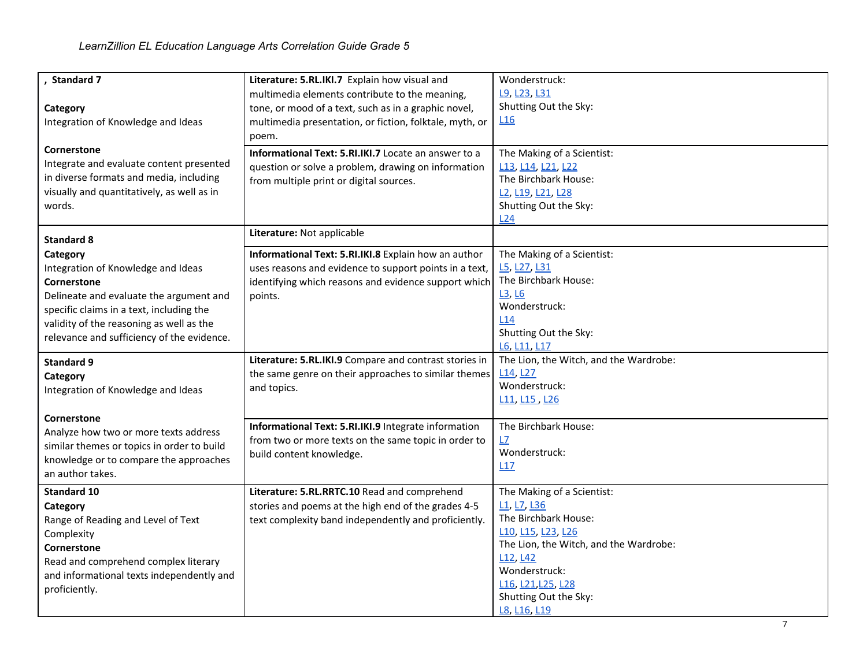| , Standard 7                                         | Literature: 5.RL.IKI.7 Explain how visual and           | Wonderstruck:                                                        |
|------------------------------------------------------|---------------------------------------------------------|----------------------------------------------------------------------|
|                                                      | multimedia elements contribute to the meaning,          | L9, L23, L31                                                         |
| Category                                             | tone, or mood of a text, such as in a graphic novel,    | Shutting Out the Sky:                                                |
| Integration of Knowledge and Ideas                   | multimedia presentation, or fiction, folktale, myth, or | L16                                                                  |
|                                                      | poem.                                                   |                                                                      |
| Cornerstone                                          | Informational Text: 5.RI.IKI.7 Locate an answer to a    | The Making of a Scientist:                                           |
| Integrate and evaluate content presented             | question or solve a problem, drawing on information     | L13, L14, L21, L22                                                   |
| in diverse formats and media, including              | from multiple print or digital sources.                 | The Birchbark House:                                                 |
| visually and quantitatively, as well as in           |                                                         | L <sub>2</sub> , L <sub>19</sub> , L <sub>21</sub> , L <sub>28</sub> |
| words.                                               |                                                         | Shutting Out the Sky:                                                |
|                                                      |                                                         | L24                                                                  |
| <b>Standard 8</b>                                    | Literature: Not applicable                              |                                                                      |
| Category                                             | Informational Text: 5.RI.IKI.8 Explain how an author    | The Making of a Scientist:                                           |
| Integration of Knowledge and Ideas                   | uses reasons and evidence to support points in a text,  | L5, L27, L31                                                         |
| Cornerstone                                          | identifying which reasons and evidence support which    | The Birchbark House:                                                 |
| Delineate and evaluate the argument and              | points.                                                 | L3, L6                                                               |
| specific claims in a text, including the             |                                                         | Wonderstruck:                                                        |
| validity of the reasoning as well as the             |                                                         | L <sub>14</sub>                                                      |
| relevance and sufficiency of the evidence.           |                                                         | Shutting Out the Sky:                                                |
|                                                      |                                                         | L6, L11, L17                                                         |
| <b>Standard 9</b>                                    | Literature: 5.RL.IKI.9 Compare and contrast stories in  | The Lion, the Witch, and the Wardrobe:                               |
| Category                                             | the same genre on their approaches to similar themes    | L <sub>14</sub> , L <sub>27</sub>                                    |
| Integration of Knowledge and Ideas                   | and topics.                                             | Wonderstruck:                                                        |
|                                                      |                                                         | L11, L15, L26                                                        |
| Cornerstone<br>Analyze how two or more texts address | Informational Text: 5.RI.IKI.9 Integrate information    | The Birchbark House:                                                 |
| similar themes or topics in order to build           | from two or more texts on the same topic in order to    | L7                                                                   |
| knowledge or to compare the approaches               | build content knowledge.                                | Wonderstruck:                                                        |
| an author takes.                                     |                                                         | L17                                                                  |
| <b>Standard 10</b>                                   | Literature: 5.RL.RRTC.10 Read and comprehend            | The Making of a Scientist:                                           |
| Category                                             | stories and poems at the high end of the grades 4-5     | L <sub>1</sub> , L <sub>7</sub> , L <sub>36</sub>                    |
| Range of Reading and Level of Text                   | text complexity band independently and proficiently.    | The Birchbark House:                                                 |
| Complexity                                           |                                                         | L10, L15, L23, L26                                                   |
| Cornerstone                                          |                                                         | The Lion, the Witch, and the Wardrobe:                               |
| Read and comprehend complex literary                 |                                                         | L <sub>12</sub> , L <sub>42</sub>                                    |
| and informational texts independently and            |                                                         | Wonderstruck:                                                        |
| proficiently.                                        |                                                         | L16, L21, L25, L28                                                   |
|                                                      |                                                         | Shutting Out the Sky:                                                |
|                                                      |                                                         | L8, L16, L19                                                         |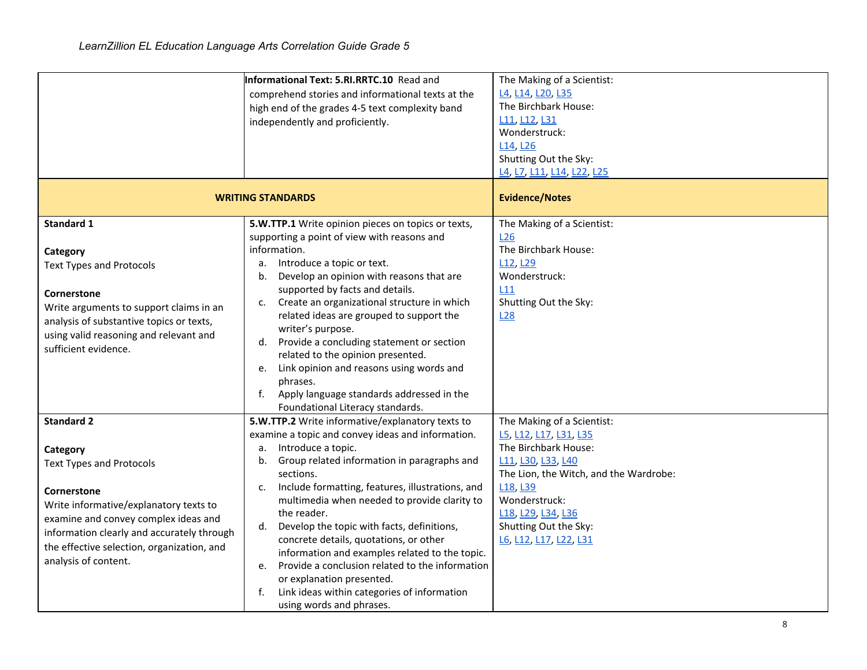|                                                                                                                                                                                                                                                                                       | <b>Informational Text: 5.RI.RRTC.10</b> Read and<br>comprehend stories and informational texts at the<br>high end of the grades 4-5 text complexity band<br>independently and proficiently.<br><b>WRITING STANDARDS</b>                                                                                                                                                                                                                                                                                                                                                                                                                             | The Making of a Scientist:<br>L4, L14, L20, L35<br>The Birchbark House:<br>L11, L12, L31<br>Wonderstruck:<br>L14, L26<br>Shutting Out the Sky:<br>L4, L7, L11, L14, L22, L25<br><b>Evidence/Notes</b>                                                                       |
|---------------------------------------------------------------------------------------------------------------------------------------------------------------------------------------------------------------------------------------------------------------------------------------|-----------------------------------------------------------------------------------------------------------------------------------------------------------------------------------------------------------------------------------------------------------------------------------------------------------------------------------------------------------------------------------------------------------------------------------------------------------------------------------------------------------------------------------------------------------------------------------------------------------------------------------------------------|-----------------------------------------------------------------------------------------------------------------------------------------------------------------------------------------------------------------------------------------------------------------------------|
| <b>Standard 1</b><br>Category<br><b>Text Types and Protocols</b><br>Cornerstone<br>Write arguments to support claims in an<br>analysis of substantive topics or texts,<br>using valid reasoning and relevant and<br>sufficient evidence.                                              | 5.W.TTP.1 Write opinion pieces on topics or texts,<br>supporting a point of view with reasons and<br>information.<br>Introduce a topic or text.<br>а.<br>Develop an opinion with reasons that are<br>b.<br>supported by facts and details.<br>Create an organizational structure in which<br>$C_{\bullet}$<br>related ideas are grouped to support the<br>writer's purpose.<br>Provide a concluding statement or section<br>d.<br>related to the opinion presented.<br>Link opinion and reasons using words and<br>e.<br>phrases.<br>Apply language standards addressed in the<br>f.<br>Foundational Literacy standards.                            | The Making of a Scientist:<br>L26<br>The Birchbark House:<br>L <sub>12</sub> , L <sub>29</sub><br>Wonderstruck:<br>L11<br>Shutting Out the Sky:<br>L28                                                                                                                      |
| <b>Standard 2</b><br>Category<br><b>Text Types and Protocols</b><br>Cornerstone<br>Write informative/explanatory texts to<br>examine and convey complex ideas and<br>information clearly and accurately through<br>the effective selection, organization, and<br>analysis of content. | 5.W.TTP.2 Write informative/explanatory texts to<br>examine a topic and convey ideas and information.<br>Introduce a topic.<br>a.<br>Group related information in paragraphs and<br>b.<br>sections.<br>Include formatting, features, illustrations, and<br>c.<br>multimedia when needed to provide clarity to<br>the reader.<br>Develop the topic with facts, definitions,<br>d.<br>concrete details, quotations, or other<br>information and examples related to the topic.<br>Provide a conclusion related to the information<br>e.<br>or explanation presented.<br>Link ideas within categories of information<br>f.<br>using words and phrases. | The Making of a Scientist:<br>L5, L12, L17, L31, L35<br>The Birchbark House:<br>L11, L30, L33, L40<br>The Lion, the Witch, and the Wardrobe:<br>L <sub>18</sub> , L <sub>39</sub><br>Wonderstruck:<br>L18, L29, L34, L36<br>Shutting Out the Sky:<br>L6, L12, L17, L22, L31 |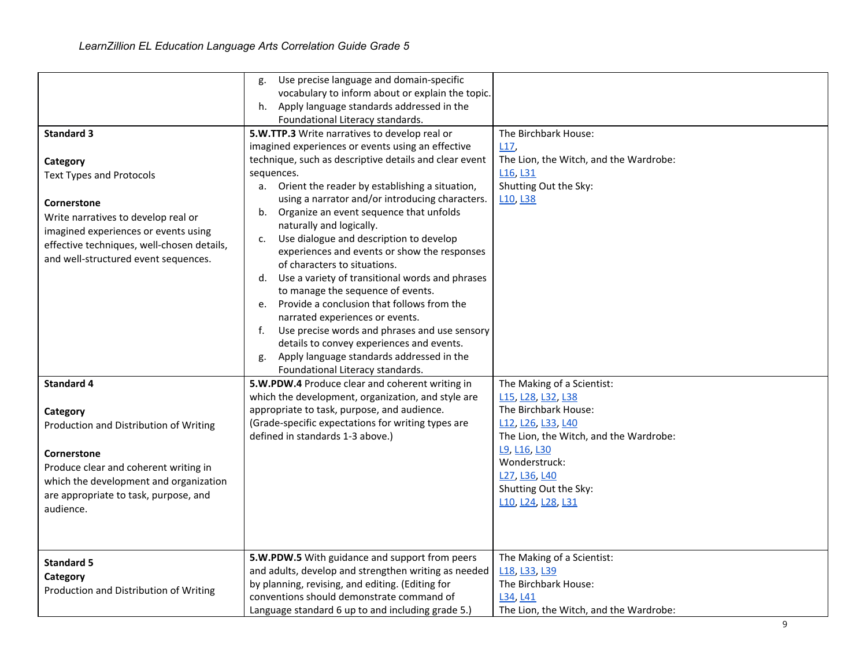| <b>Standard 3</b><br>Category<br><b>Text Types and Protocols</b><br>Cornerstone<br>Write narratives to develop real or<br>imagined experiences or events using<br>effective techniques, well-chosen details,<br>and well-structured event sequences.<br><b>Standard 4</b><br>Category<br>Production and Distribution of Writing<br>Cornerstone<br>Produce clear and coherent writing in<br>which the development and organization<br>are appropriate to task, purpose, and<br>audience. | Use precise language and domain-specific<br>g.<br>vocabulary to inform about or explain the topic.<br>Apply language standards addressed in the<br>h.<br>Foundational Literacy standards.<br>5.W.TTP.3 Write narratives to develop real or<br>imagined experiences or events using an effective<br>technique, such as descriptive details and clear event<br>sequences.<br>a. Orient the reader by establishing a situation,<br>using a narrator and/or introducing characters.<br>Organize an event sequence that unfolds<br>b.<br>naturally and logically.<br>Use dialogue and description to develop<br>c.<br>experiences and events or show the responses<br>of characters to situations.<br>d. Use a variety of transitional words and phrases<br>to manage the sequence of events.<br>Provide a conclusion that follows from the<br>e.<br>narrated experiences or events.<br>Use precise words and phrases and use sensory<br>f.<br>details to convey experiences and events.<br>Apply language standards addressed in the<br>g.<br>Foundational Literacy standards.<br>5.W.PDW.4 Produce clear and coherent writing in<br>which the development, organization, and style are<br>appropriate to task, purpose, and audience.<br>(Grade-specific expectations for writing types are<br>defined in standards 1-3 above.) | The Birchbark House:<br>L17<br>The Lion, the Witch, and the Wardrobe:<br>L <sub>16</sub> , L <sub>31</sub><br>Shutting Out the Sky:<br>L <sub>10</sub> , L <sub>38</sub><br>The Making of a Scientist:<br>L15, L28, L32, L38<br>The Birchbark House:<br>L12, L26, L33, L40<br>The Lion, the Witch, and the Wardrobe:<br>L9, L16, L30<br>Wonderstruck:<br>L27, L36, L40<br>Shutting Out the Sky:<br>L10, L24, L28, L31 |
|-----------------------------------------------------------------------------------------------------------------------------------------------------------------------------------------------------------------------------------------------------------------------------------------------------------------------------------------------------------------------------------------------------------------------------------------------------------------------------------------|------------------------------------------------------------------------------------------------------------------------------------------------------------------------------------------------------------------------------------------------------------------------------------------------------------------------------------------------------------------------------------------------------------------------------------------------------------------------------------------------------------------------------------------------------------------------------------------------------------------------------------------------------------------------------------------------------------------------------------------------------------------------------------------------------------------------------------------------------------------------------------------------------------------------------------------------------------------------------------------------------------------------------------------------------------------------------------------------------------------------------------------------------------------------------------------------------------------------------------------------------------------------------------------------------------------------------|-----------------------------------------------------------------------------------------------------------------------------------------------------------------------------------------------------------------------------------------------------------------------------------------------------------------------------------------------------------------------------------------------------------------------|
| <b>Standard 5</b><br>Category<br>Production and Distribution of Writing                                                                                                                                                                                                                                                                                                                                                                                                                 | 5.W.PDW.5 With guidance and support from peers<br>and adults, develop and strengthen writing as needed<br>by planning, revising, and editing. (Editing for<br>conventions should demonstrate command of<br>Language standard 6 up to and including grade 5.)                                                                                                                                                                                                                                                                                                                                                                                                                                                                                                                                                                                                                                                                                                                                                                                                                                                                                                                                                                                                                                                                 | The Making of a Scientist:<br>L <sub>18</sub> , L <sub>33</sub> , L <sub>39</sub><br>The Birchbark House:<br>L34, L41<br>The Lion, the Witch, and the Wardrobe:                                                                                                                                                                                                                                                       |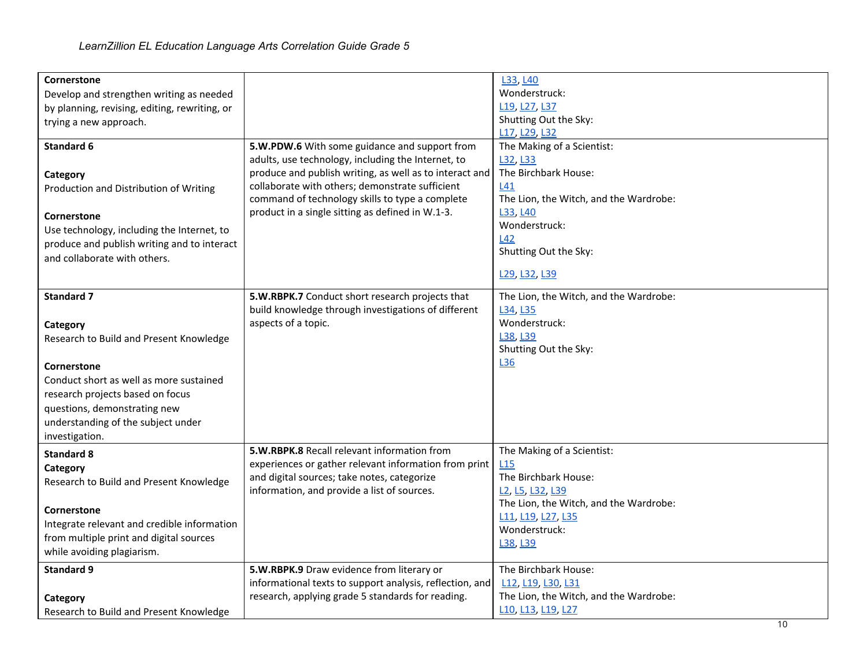| Cornerstone                                   |                                                          | L33, L40                                                            |
|-----------------------------------------------|----------------------------------------------------------|---------------------------------------------------------------------|
| Develop and strengthen writing as needed      |                                                          | Wonderstruck:                                                       |
| by planning, revising, editing, rewriting, or |                                                          | L19, L27, L37                                                       |
| trying a new approach.                        |                                                          | Shutting Out the Sky:                                               |
|                                               |                                                          | L17, L29, L32                                                       |
| Standard 6                                    | 5.W.PDW.6 With some guidance and support from            | The Making of a Scientist:                                          |
|                                               | adults, use technology, including the Internet, to       | L32, L33                                                            |
| Category                                      | produce and publish writing, as well as to interact and  | The Birchbark House:                                                |
| Production and Distribution of Writing        | collaborate with others; demonstrate sufficient          | <b>L41</b>                                                          |
|                                               | command of technology skills to type a complete          | The Lion, the Witch, and the Wardrobe:                              |
| Cornerstone                                   | product in a single sitting as defined in W.1-3.         | L33, L40                                                            |
| Use technology, including the Internet, to    |                                                          | Wonderstruck:                                                       |
|                                               |                                                          | L42                                                                 |
| produce and publish writing and to interact   |                                                          | Shutting Out the Sky:                                               |
| and collaborate with others.                  |                                                          |                                                                     |
|                                               |                                                          | L29, L32, L39                                                       |
| <b>Standard 7</b>                             | 5.W.RBPK.7 Conduct short research projects that          |                                                                     |
|                                               |                                                          | The Lion, the Witch, and the Wardrobe:<br>L34, L35                  |
|                                               | build knowledge through investigations of different      | Wonderstruck:                                                       |
| Category                                      | aspects of a topic.                                      |                                                                     |
| Research to Build and Present Knowledge       |                                                          | L38, L39                                                            |
|                                               |                                                          | Shutting Out the Sky:                                               |
| Cornerstone                                   |                                                          | L36                                                                 |
| Conduct short as well as more sustained       |                                                          |                                                                     |
| research projects based on focus              |                                                          |                                                                     |
| questions, demonstrating new                  |                                                          |                                                                     |
| understanding of the subject under            |                                                          |                                                                     |
| investigation.                                |                                                          |                                                                     |
|                                               | 5.W.RBPK.8 Recall relevant information from              | The Making of a Scientist:                                          |
| <b>Standard 8</b>                             | experiences or gather relevant information from print    | L <sub>15</sub>                                                     |
| Category                                      | and digital sources; take notes, categorize              | The Birchbark House:                                                |
| Research to Build and Present Knowledge       | information, and provide a list of sources.              | L <sub>2</sub> , L <sub>5</sub> , L <sub>32</sub> , L <sub>39</sub> |
|                                               |                                                          | The Lion, the Witch, and the Wardrobe:                              |
| Cornerstone                                   |                                                          | L11, L19, L27, L35                                                  |
| Integrate relevant and credible information   |                                                          | Wonderstruck:                                                       |
| from multiple print and digital sources       |                                                          | L38, L39                                                            |
| while avoiding plagiarism.                    |                                                          |                                                                     |
| <b>Standard 9</b>                             | 5.W.RBPK.9 Draw evidence from literary or                | The Birchbark House:                                                |
|                                               | informational texts to support analysis, reflection, and | L12, L19, L30, L31                                                  |
|                                               | research, applying grade 5 standards for reading.        | The Lion, the Witch, and the Wardrobe:                              |
| Category                                      |                                                          | L10, L13, L19, L27                                                  |
| Research to Build and Present Knowledge       |                                                          |                                                                     |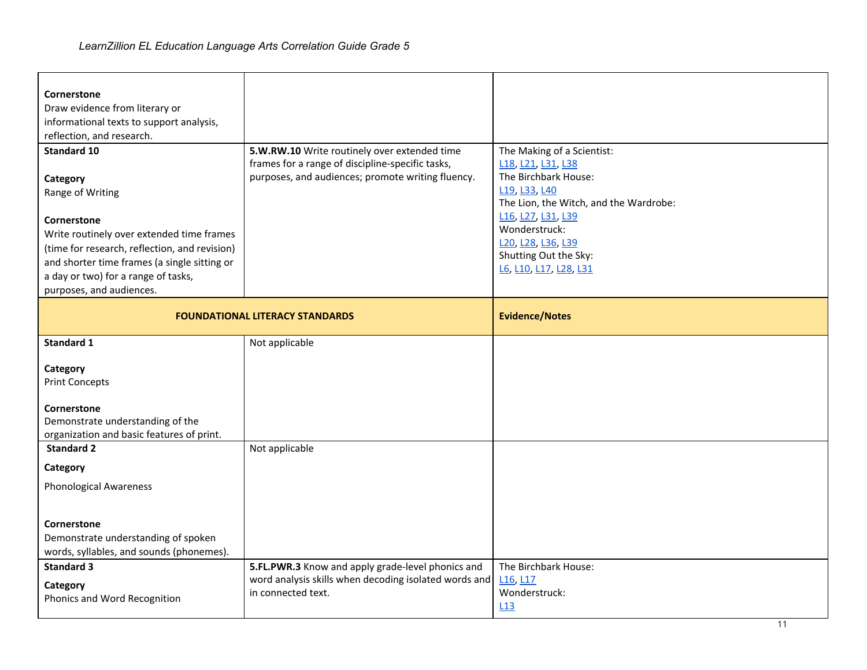| Cornerstone                                     |                                                       |                                        |
|-------------------------------------------------|-------------------------------------------------------|----------------------------------------|
| Draw evidence from literary or                  |                                                       |                                        |
| informational texts to support analysis,        |                                                       |                                        |
| reflection, and research.                       |                                                       |                                        |
| <b>Standard 10</b>                              | 5.W.RW.10 Write routinely over extended time          | The Making of a Scientist:             |
|                                                 | frames for a range of discipline-specific tasks,      | L18, L21, L31, L38                     |
| Category                                        | purposes, and audiences; promote writing fluency.     | The Birchbark House:                   |
| Range of Writing                                |                                                       | L19, L33, L40                          |
|                                                 |                                                       | The Lion, the Witch, and the Wardrobe: |
| Cornerstone                                     |                                                       | L16, L27, L31, L39                     |
| Write routinely over extended time frames       |                                                       | Wonderstruck:                          |
| (time for research, reflection, and revision)   |                                                       | L20, L28, L36, L39                     |
| and shorter time frames (a single sitting or    |                                                       | Shutting Out the Sky:                  |
| a day or two) for a range of tasks,             |                                                       | L6, L10, L17, L28, L31                 |
| purposes, and audiences.                        |                                                       |                                        |
|                                                 |                                                       |                                        |
|                                                 | <b>FOUNDATIONAL LITERACY STANDARDS</b>                | <b>Evidence/Notes</b>                  |
|                                                 |                                                       |                                        |
| <b>Standard 1</b>                               | Not applicable                                        |                                        |
|                                                 |                                                       |                                        |
| Category                                        |                                                       |                                        |
| <b>Print Concepts</b>                           |                                                       |                                        |
|                                                 |                                                       |                                        |
| Cornerstone<br>Demonstrate understanding of the |                                                       |                                        |
| organization and basic features of print.       |                                                       |                                        |
| <b>Standard 2</b>                               | Not applicable                                        |                                        |
|                                                 |                                                       |                                        |
| Category                                        |                                                       |                                        |
| <b>Phonological Awareness</b>                   |                                                       |                                        |
|                                                 |                                                       |                                        |
|                                                 |                                                       |                                        |
| Cornerstone                                     |                                                       |                                        |
| Demonstrate understanding of spoken             |                                                       |                                        |
| words, syllables, and sounds (phonemes).        |                                                       |                                        |
| <b>Standard 3</b>                               | 5.FL.PWR.3 Know and apply grade-level phonics and     | The Birchbark House:                   |
| Category                                        | word analysis skills when decoding isolated words and | L <sub>16</sub> , L <sub>17</sub>      |
| Phonics and Word Recognition                    |                                                       |                                        |
|                                                 | in connected text.                                    | Wonderstruck:                          |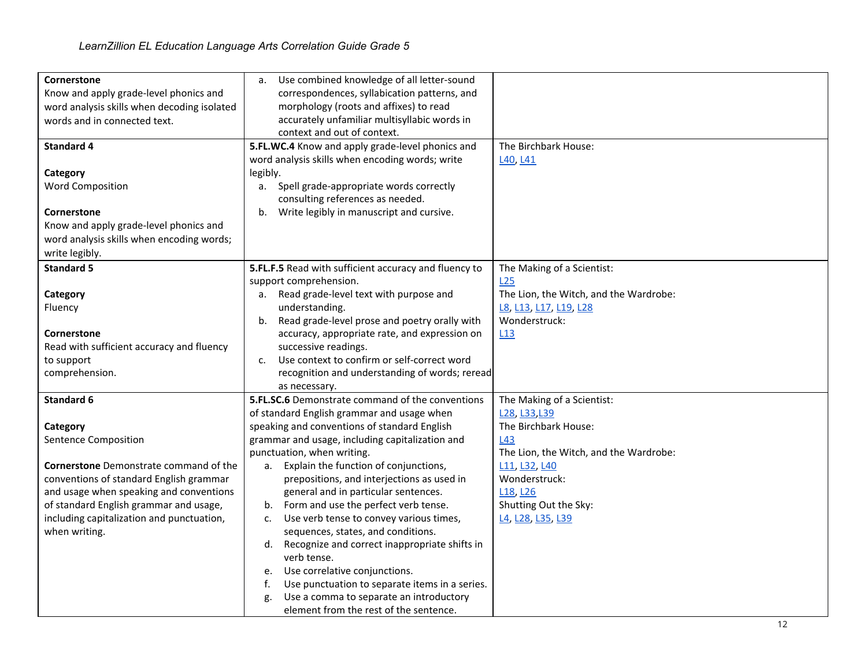| Cornerstone                                   | Use combined knowledge of all letter-sound<br>a.        |                                        |
|-----------------------------------------------|---------------------------------------------------------|----------------------------------------|
| Know and apply grade-level phonics and        | correspondences, syllabication patterns, and            |                                        |
| word analysis skills when decoding isolated   | morphology (roots and affixes) to read                  |                                        |
| words and in connected text.                  | accurately unfamiliar multisyllabic words in            |                                        |
|                                               | context and out of context.                             |                                        |
| <b>Standard 4</b>                             | 5.FL.WC.4 Know and apply grade-level phonics and        | The Birchbark House:                   |
|                                               | word analysis skills when encoding words; write         | L40, L41                               |
| Category                                      | legibly.                                                |                                        |
| <b>Word Composition</b>                       | Spell grade-appropriate words correctly<br>a.           |                                        |
|                                               | consulting references as needed.                        |                                        |
| Cornerstone                                   | Write legibly in manuscript and cursive.<br>b.          |                                        |
| Know and apply grade-level phonics and        |                                                         |                                        |
| word analysis skills when encoding words;     |                                                         |                                        |
| write legibly.                                |                                                         |                                        |
| <b>Standard 5</b>                             | 5.FL.F.5 Read with sufficient accuracy and fluency to   | The Making of a Scientist:             |
|                                               | support comprehension.                                  | L25                                    |
| Category                                      | Read grade-level text with purpose and<br>а.            | The Lion, the Witch, and the Wardrobe: |
| Fluency                                       | understanding.                                          | L8, L13, L17, L19, L28                 |
|                                               | Read grade-level prose and poetry orally with<br>b.     | Wonderstruck:                          |
| <b>Cornerstone</b>                            | accuracy, appropriate rate, and expression on           | L13                                    |
| Read with sufficient accuracy and fluency     | successive readings.                                    |                                        |
| to support                                    | Use context to confirm or self-correct word<br>c.       |                                        |
| comprehension.                                | recognition and understanding of words; reread          |                                        |
|                                               | as necessary.                                           |                                        |
| <b>Standard 6</b>                             | <b>5.FL.SC.6</b> Demonstrate command of the conventions | The Making of a Scientist:             |
|                                               | of standard English grammar and usage when              | L28, L33, L39                          |
| Category                                      | speaking and conventions of standard English            | The Birchbark House:                   |
| Sentence Composition                          | grammar and usage, including capitalization and         | L43                                    |
|                                               | punctuation, when writing.                              | The Lion, the Witch, and the Wardrobe: |
| <b>Cornerstone</b> Demonstrate command of the | a. Explain the function of conjunctions,                | L11, L32, L40                          |
| conventions of standard English grammar       | prepositions, and interjections as used in              | Wonderstruck:                          |
| and usage when speaking and conventions       | general and in particular sentences.                    | L <sub>18</sub> , L <sub>26</sub>      |
| of standard English grammar and usage,        | Form and use the perfect verb tense.<br>b.              | Shutting Out the Sky:                  |
| including capitalization and punctuation,     | Use verb tense to convey various times,<br>c.           | L4, L28, L35, L39                      |
| when writing.                                 | sequences, states, and conditions.                      |                                        |
|                                               | Recognize and correct inappropriate shifts in<br>d.     |                                        |
|                                               | verb tense.                                             |                                        |
|                                               | Use correlative conjunctions.<br>е.                     |                                        |
|                                               | Use punctuation to separate items in a series.<br>f.    |                                        |
|                                               | Use a comma to separate an introductory<br>g.           |                                        |
|                                               | element from the rest of the sentence.                  |                                        |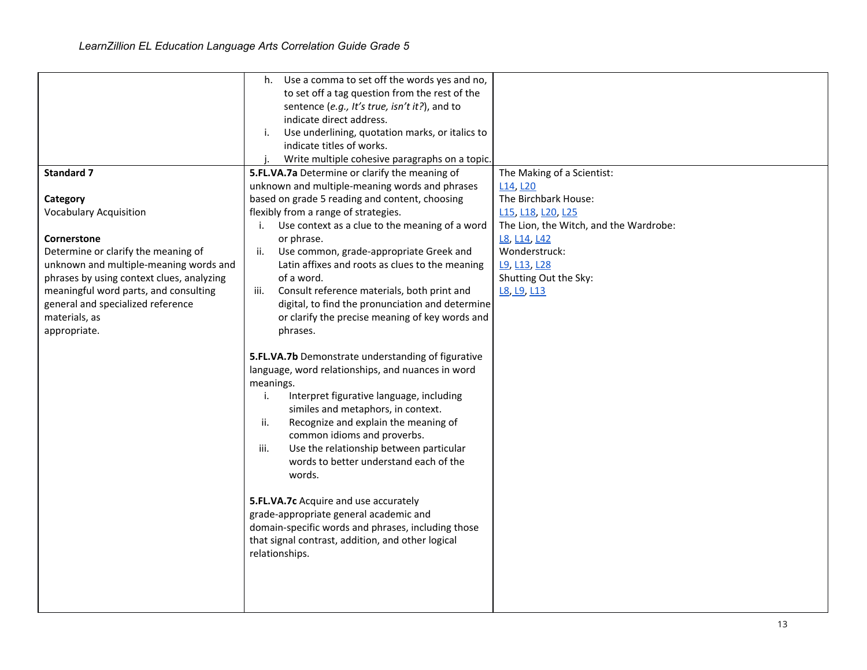|                                           | h. Use a comma to set off the words yes and no,       |                                        |
|-------------------------------------------|-------------------------------------------------------|----------------------------------------|
|                                           | to set off a tag question from the rest of the        |                                        |
|                                           | sentence (e.g., It's true, isn't it?), and to         |                                        |
|                                           | indicate direct address.                              |                                        |
|                                           |                                                       |                                        |
|                                           | Use underlining, quotation marks, or italics to<br>i. |                                        |
|                                           | indicate titles of works.                             |                                        |
|                                           | Write multiple cohesive paragraphs on a topic.        |                                        |
| <b>Standard 7</b>                         | 5.FL.VA.7a Determine or clarify the meaning of        | The Making of a Scientist:             |
|                                           | unknown and multiple-meaning words and phrases        | L <sub>14</sub> , L <sub>20</sub>      |
| Category                                  | based on grade 5 reading and content, choosing        | The Birchbark House:                   |
| <b>Vocabulary Acquisition</b>             | flexibly from a range of strategies.                  | L15, L18, L20, L25                     |
|                                           | Use context as a clue to the meaning of a word<br>i.  | The Lion, the Witch, and the Wardrobe: |
| Cornerstone                               | or phrase.                                            | L8, L14, L42                           |
| Determine or clarify the meaning of       | Use common, grade-appropriate Greek and<br>ii.        | Wonderstruck:                          |
| unknown and multiple-meaning words and    | Latin affixes and roots as clues to the meaning       | L9, L13, L28                           |
| phrases by using context clues, analyzing | of a word.                                            | Shutting Out the Sky:                  |
| meaningful word parts, and consulting     | Consult reference materials, both print and<br>iii.   | L8, L9, L13                            |
| general and specialized reference         | digital, to find the pronunciation and determine      |                                        |
| materials, as                             | or clarify the precise meaning of key words and       |                                        |
| appropriate.                              | phrases.                                              |                                        |
|                                           |                                                       |                                        |
|                                           | 5.FL.VA.7b Demonstrate understanding of figurative    |                                        |
|                                           | language, word relationships, and nuances in word     |                                        |
|                                           | meanings.                                             |                                        |
|                                           | i.<br>Interpret figurative language, including        |                                        |
|                                           | similes and metaphors, in context.                    |                                        |
|                                           | Recognize and explain the meaning of<br>ii.           |                                        |
|                                           | common idioms and proverbs.                           |                                        |
|                                           |                                                       |                                        |
|                                           | iii.<br>Use the relationship between particular       |                                        |
|                                           | words to better understand each of the                |                                        |
|                                           | words.                                                |                                        |
|                                           |                                                       |                                        |
|                                           | 5.FL.VA.7c Acquire and use accurately                 |                                        |
|                                           | grade-appropriate general academic and                |                                        |
|                                           | domain-specific words and phrases, including those    |                                        |
|                                           | that signal contrast, addition, and other logical     |                                        |
|                                           | relationships.                                        |                                        |
|                                           |                                                       |                                        |
|                                           |                                                       |                                        |
|                                           |                                                       |                                        |
|                                           |                                                       |                                        |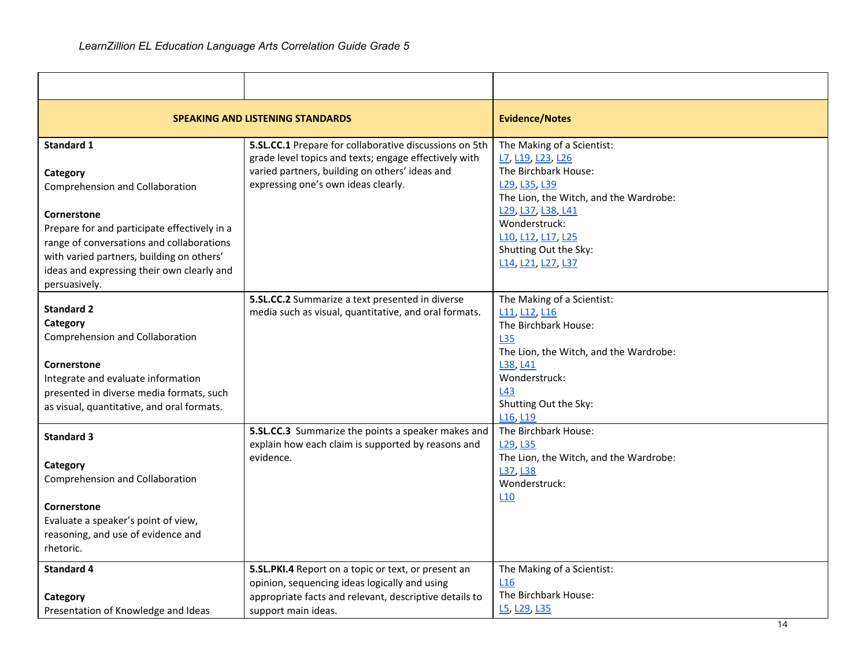|                                                                                                                                                                                                                                                                                          | <b>SPEAKING AND LISTENING STANDARDS</b>                                                                                                                                                                  | <b>Evidence/Notes</b>                                                                                                                                                                                                                                                                |
|------------------------------------------------------------------------------------------------------------------------------------------------------------------------------------------------------------------------------------------------------------------------------------------|----------------------------------------------------------------------------------------------------------------------------------------------------------------------------------------------------------|--------------------------------------------------------------------------------------------------------------------------------------------------------------------------------------------------------------------------------------------------------------------------------------|
| <b>Standard 1</b><br>Category<br>Comprehension and Collaboration<br>Cornerstone<br>Prepare for and participate effectively in a<br>range of conversations and collaborations<br>with varied partners, building on others'<br>ideas and expressing their own clearly and<br>persuasively. | 5.SL.CC.1 Prepare for collaborative discussions on 5th<br>grade level topics and texts; engage effectively with<br>varied partners, building on others' ideas and<br>expressing one's own ideas clearly. | The Making of a Scientist:<br>L7, L19, L23, L26<br>The Birchbark House:<br>L <sub>29</sub> , L <sub>35</sub> , L <sub>39</sub><br>The Lion, the Witch, and the Wardrobe:<br>L29, L37, L38, L41<br>Wonderstruck:<br>L10, L12, L17, L25<br>Shutting Out the Sky:<br>L14, L21, L27, L37 |
| <b>Standard 2</b><br>Category<br>Comprehension and Collaboration<br>Cornerstone<br>Integrate and evaluate information<br>presented in diverse media formats, such<br>as visual, quantitative, and oral formats.                                                                          | 5.SL.CC.2 Summarize a text presented in diverse<br>media such as visual, quantitative, and oral formats.                                                                                                 | The Making of a Scientist:<br>L11, L12, L16<br>The Birchbark House:<br><b>L35</b><br>The Lion, the Witch, and the Wardrobe:<br>L38, L41<br>Wonderstruck:<br>L43<br>Shutting Out the Sky:<br>L <sub>16</sub> , L <sub>19</sub>                                                        |
| <b>Standard 3</b><br>Category<br>Comprehension and Collaboration<br>Cornerstone<br>Evaluate a speaker's point of view,<br>reasoning, and use of evidence and<br>rhetoric.                                                                                                                | 5.SL.CC.3 Summarize the points a speaker makes and<br>explain how each claim is supported by reasons and<br>evidence.                                                                                    | The Birchbark House:<br>L29, L35<br>The Lion, the Witch, and the Wardrobe:<br>L37, L38<br>Wonderstruck:<br>L <sub>10</sub>                                                                                                                                                           |
| <b>Standard 4</b><br>Category<br>Presentation of Knowledge and Ideas                                                                                                                                                                                                                     | 5.SL.PKI.4 Report on a topic or text, or present an<br>opinion, sequencing ideas logically and using<br>appropriate facts and relevant, descriptive details to<br>support main ideas.                    | The Making of a Scientist:<br>L16<br>The Birchbark House:<br>L5, L29, L35                                                                                                                                                                                                            |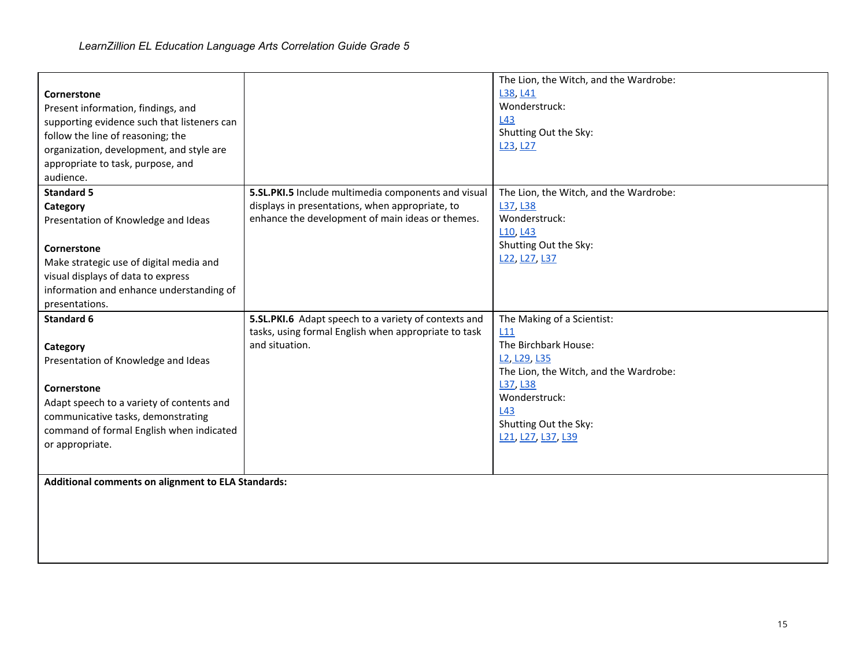| Cornerstone<br>Present information, findings, and<br>supporting evidence such that listeners can<br>follow the line of reasoning; the<br>organization, development, and style are<br>appropriate to task, purpose, and<br>audience. |                                                      | The Lion, the Witch, and the Wardrobe:<br>L38, L41<br>Wonderstruck:<br>L43<br>Shutting Out the Sky:<br>L <sub>23</sub> , L <sub>27</sub> |
|-------------------------------------------------------------------------------------------------------------------------------------------------------------------------------------------------------------------------------------|------------------------------------------------------|------------------------------------------------------------------------------------------------------------------------------------------|
| <b>Standard 5</b>                                                                                                                                                                                                                   | 5.SL.PKI.5 Include multimedia components and visual  | The Lion, the Witch, and the Wardrobe:                                                                                                   |
| Category                                                                                                                                                                                                                            | displays in presentations, when appropriate, to      | L37, L38                                                                                                                                 |
| Presentation of Knowledge and Ideas                                                                                                                                                                                                 | enhance the development of main ideas or themes.     | Wonderstruck:                                                                                                                            |
|                                                                                                                                                                                                                                     |                                                      | L <sub>10</sub> , L <sub>43</sub><br>Shutting Out the Sky:                                                                               |
| Cornerstone                                                                                                                                                                                                                         |                                                      | L22, L27, L37                                                                                                                            |
| Make strategic use of digital media and                                                                                                                                                                                             |                                                      |                                                                                                                                          |
| visual displays of data to express                                                                                                                                                                                                  |                                                      |                                                                                                                                          |
| information and enhance understanding of<br>presentations.                                                                                                                                                                          |                                                      |                                                                                                                                          |
| <b>Standard 6</b>                                                                                                                                                                                                                   | 5.SL.PKI.6 Adapt speech to a variety of contexts and | The Making of a Scientist:                                                                                                               |
|                                                                                                                                                                                                                                     | tasks, using formal English when appropriate to task | L11                                                                                                                                      |
| Category                                                                                                                                                                                                                            | and situation.                                       | The Birchbark House:                                                                                                                     |
| Presentation of Knowledge and Ideas                                                                                                                                                                                                 |                                                      | L <sub>2</sub> , L <sub>29</sub> , L <sub>35</sub>                                                                                       |
|                                                                                                                                                                                                                                     |                                                      | The Lion, the Witch, and the Wardrobe:                                                                                                   |
| Cornerstone                                                                                                                                                                                                                         |                                                      | L37, L38                                                                                                                                 |
| Adapt speech to a variety of contents and                                                                                                                                                                                           |                                                      | Wonderstruck:                                                                                                                            |
| communicative tasks, demonstrating                                                                                                                                                                                                  |                                                      | L43<br>Shutting Out the Sky:                                                                                                             |
| command of formal English when indicated                                                                                                                                                                                            |                                                      | L21, L27, L37, L39                                                                                                                       |
| or appropriate.                                                                                                                                                                                                                     |                                                      |                                                                                                                                          |
|                                                                                                                                                                                                                                     |                                                      |                                                                                                                                          |
| Additional comments on alignment to ELA Standards:                                                                                                                                                                                  |                                                      |                                                                                                                                          |
|                                                                                                                                                                                                                                     |                                                      |                                                                                                                                          |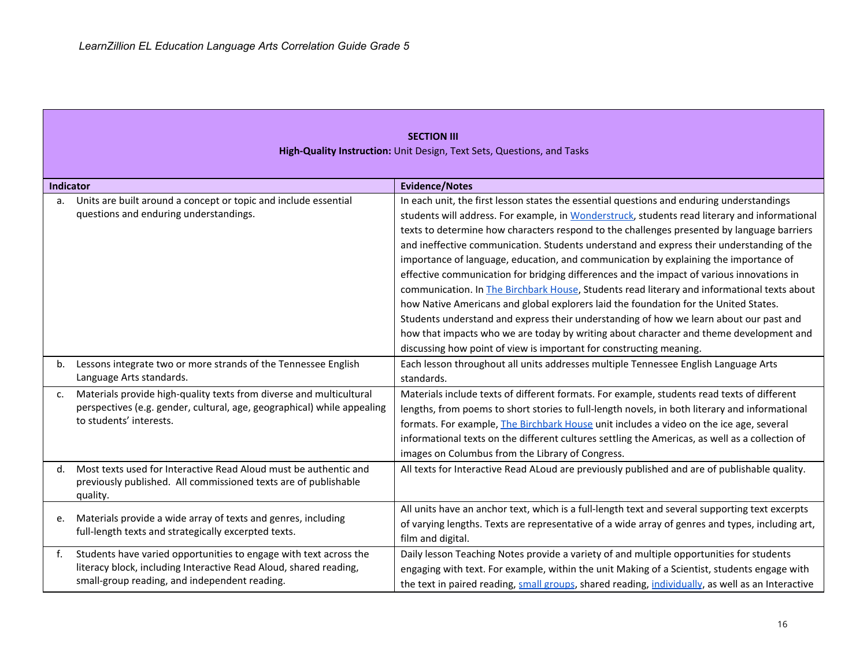|                  | <b>SECTION III</b><br>High-Quality Instruction: Unit Design, Text Sets, Questions, and Tasks                                                                                            |                                                                                                                                                                                                                                                                                                                                                                                                                                                                                                                                                                                                                                                                                                                                                                                                                                                                                                                                                                                                                              |  |
|------------------|-----------------------------------------------------------------------------------------------------------------------------------------------------------------------------------------|------------------------------------------------------------------------------------------------------------------------------------------------------------------------------------------------------------------------------------------------------------------------------------------------------------------------------------------------------------------------------------------------------------------------------------------------------------------------------------------------------------------------------------------------------------------------------------------------------------------------------------------------------------------------------------------------------------------------------------------------------------------------------------------------------------------------------------------------------------------------------------------------------------------------------------------------------------------------------------------------------------------------------|--|
| <b>Indicator</b> |                                                                                                                                                                                         | <b>Evidence/Notes</b>                                                                                                                                                                                                                                                                                                                                                                                                                                                                                                                                                                                                                                                                                                                                                                                                                                                                                                                                                                                                        |  |
| a.               | Units are built around a concept or topic and include essential<br>questions and enduring understandings.                                                                               | In each unit, the first lesson states the essential questions and enduring understandings<br>students will address. For example, in Wonderstruck, students read literary and informational<br>texts to determine how characters respond to the challenges presented by language barriers<br>and ineffective communication. Students understand and express their understanding of the<br>importance of language, education, and communication by explaining the importance of<br>effective communication for bridging differences and the impact of various innovations in<br>communication. In The Birchbark House, Students read literary and informational texts about<br>how Native Americans and global explorers laid the foundation for the United States.<br>Students understand and express their understanding of how we learn about our past and<br>how that impacts who we are today by writing about character and theme development and<br>discussing how point of view is important for constructing meaning. |  |
| b.               | Lessons integrate two or more strands of the Tennessee English<br>Language Arts standards.                                                                                              | Each lesson throughout all units addresses multiple Tennessee English Language Arts<br>standards.                                                                                                                                                                                                                                                                                                                                                                                                                                                                                                                                                                                                                                                                                                                                                                                                                                                                                                                            |  |
| c.               | Materials provide high-quality texts from diverse and multicultural<br>perspectives (e.g. gender, cultural, age, geographical) while appealing<br>to students' interests.               | Materials include texts of different formats. For example, students read texts of different<br>lengths, from poems to short stories to full-length novels, in both literary and informational<br>formats. For example, <i>The Birchbark House</i> unit includes a video on the ice age, several<br>informational texts on the different cultures settling the Americas, as well as a collection of<br>images on Columbus from the Library of Congress.                                                                                                                                                                                                                                                                                                                                                                                                                                                                                                                                                                       |  |
| d.               | Most texts used for Interactive Read Aloud must be authentic and<br>previously published. All commissioned texts are of publishable<br>quality.                                         | All texts for Interactive Read ALoud are previously published and are of publishable quality.                                                                                                                                                                                                                                                                                                                                                                                                                                                                                                                                                                                                                                                                                                                                                                                                                                                                                                                                |  |
| e.               | Materials provide a wide array of texts and genres, including<br>full-length texts and strategically excerpted texts.                                                                   | All units have an anchor text, which is a full-length text and several supporting text excerpts<br>of varying lengths. Texts are representative of a wide array of genres and types, including art,<br>film and digital.                                                                                                                                                                                                                                                                                                                                                                                                                                                                                                                                                                                                                                                                                                                                                                                                     |  |
| f.               | Students have varied opportunities to engage with text across the<br>literacy block, including Interactive Read Aloud, shared reading,<br>small-group reading, and independent reading. | Daily lesson Teaching Notes provide a variety of and multiple opportunities for students<br>engaging with text. For example, within the unit Making of a Scientist, students engage with<br>the text in paired reading, small groups, shared reading, individually, as well as an Interactive                                                                                                                                                                                                                                                                                                                                                                                                                                                                                                                                                                                                                                                                                                                                |  |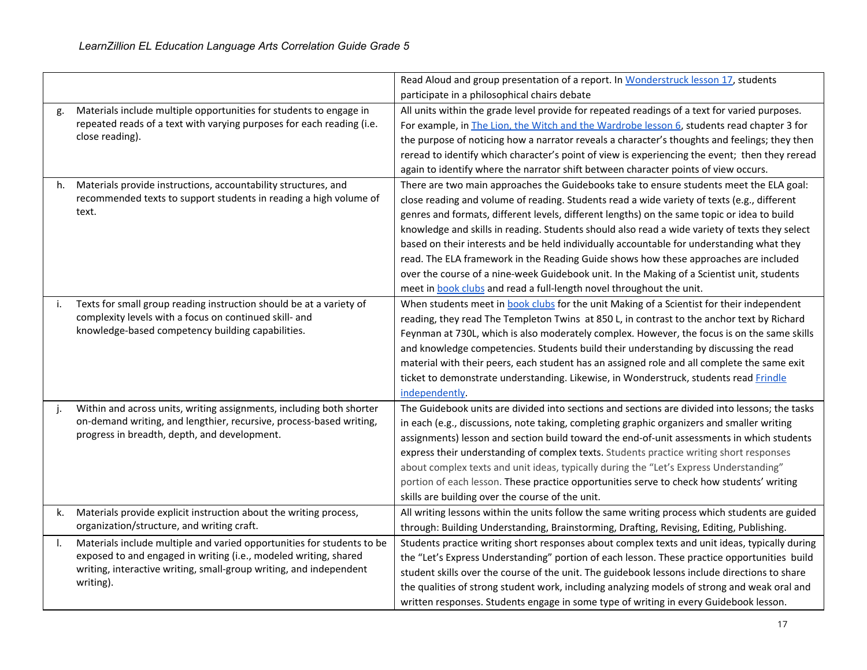|    |                                                                                 | Read Aloud and group presentation of a report. In Wonderstruck lesson 17, students                 |
|----|---------------------------------------------------------------------------------|----------------------------------------------------------------------------------------------------|
|    |                                                                                 | participate in a philosophical chairs debate                                                       |
| g. | Materials include multiple opportunities for students to engage in              | All units within the grade level provide for repeated readings of a text for varied purposes.      |
|    | repeated reads of a text with varying purposes for each reading (i.e.           | For example, in <i>The Lion</i> , the Witch and the Wardrobe lesson 6, students read chapter 3 for |
|    | close reading).                                                                 | the purpose of noticing how a narrator reveals a character's thoughts and feelings; they then      |
|    |                                                                                 | reread to identify which character's point of view is experiencing the event; then they reread     |
|    |                                                                                 | again to identify where the narrator shift between character points of view occurs.                |
| h. | Materials provide instructions, accountability structures, and                  | There are two main approaches the Guidebooks take to ensure students meet the ELA goal:            |
|    | recommended texts to support students in reading a high volume of               | close reading and volume of reading. Students read a wide variety of texts (e.g., different        |
|    | text.                                                                           | genres and formats, different levels, different lengths) on the same topic or idea to build        |
|    |                                                                                 | knowledge and skills in reading. Students should also read a wide variety of texts they select     |
|    |                                                                                 | based on their interests and be held individually accountable for understanding what they          |
|    |                                                                                 | read. The ELA framework in the Reading Guide shows how these approaches are included               |
|    |                                                                                 | over the course of a nine-week Guidebook unit. In the Making of a Scientist unit, students         |
|    |                                                                                 | meet in book clubs and read a full-length novel throughout the unit.                               |
| i. | Texts for small group reading instruction should be at a variety of             | When students meet in book clubs for the unit Making of a Scientist for their independent          |
|    | complexity levels with a focus on continued skill- and                          | reading, they read The Templeton Twins at 850 L, in contrast to the anchor text by Richard         |
|    | knowledge-based competency building capabilities.                               | Feynman at 730L, which is also moderately complex. However, the focus is on the same skills        |
|    |                                                                                 | and knowledge competencies. Students build their understanding by discussing the read              |
|    |                                                                                 | material with their peers, each student has an assigned role and all complete the same exit        |
|    |                                                                                 | ticket to demonstrate understanding. Likewise, in Wonderstruck, students read Frindle              |
|    |                                                                                 | independently.                                                                                     |
|    | Within and across units, writing assignments, including both shorter            | The Guidebook units are divided into sections and sections are divided into lessons; the tasks     |
|    | on-demand writing, and lengthier, recursive, process-based writing,             | in each (e.g., discussions, note taking, completing graphic organizers and smaller writing         |
|    | progress in breadth, depth, and development.                                    | assignments) lesson and section build toward the end-of-unit assessments in which students         |
|    |                                                                                 | express their understanding of complex texts. Students practice writing short responses            |
|    |                                                                                 | about complex texts and unit ideas, typically during the "Let's Express Understanding"             |
|    |                                                                                 | portion of each lesson. These practice opportunities serve to check how students' writing          |
|    |                                                                                 | skills are building over the course of the unit.                                                   |
| k. | Materials provide explicit instruction about the writing process,               | All writing lessons within the units follow the same writing process which students are guided     |
|    | organization/structure, and writing craft.                                      | through: Building Understanding, Brainstorming, Drafting, Revising, Editing, Publishing.           |
|    | Materials include multiple and varied opportunities for students to be          | Students practice writing short responses about complex texts and unit ideas, typically during     |
|    | exposed to and engaged in writing (i.e., modeled writing, shared                | the "Let's Express Understanding" portion of each lesson. These practice opportunities build       |
|    | writing, interactive writing, small-group writing, and independent<br>writing). | student skills over the course of the unit. The guidebook lessons include directions to share      |
|    |                                                                                 | the qualities of strong student work, including analyzing models of strong and weak oral and       |
|    |                                                                                 | written responses. Students engage in some type of writing in every Guidebook lesson.              |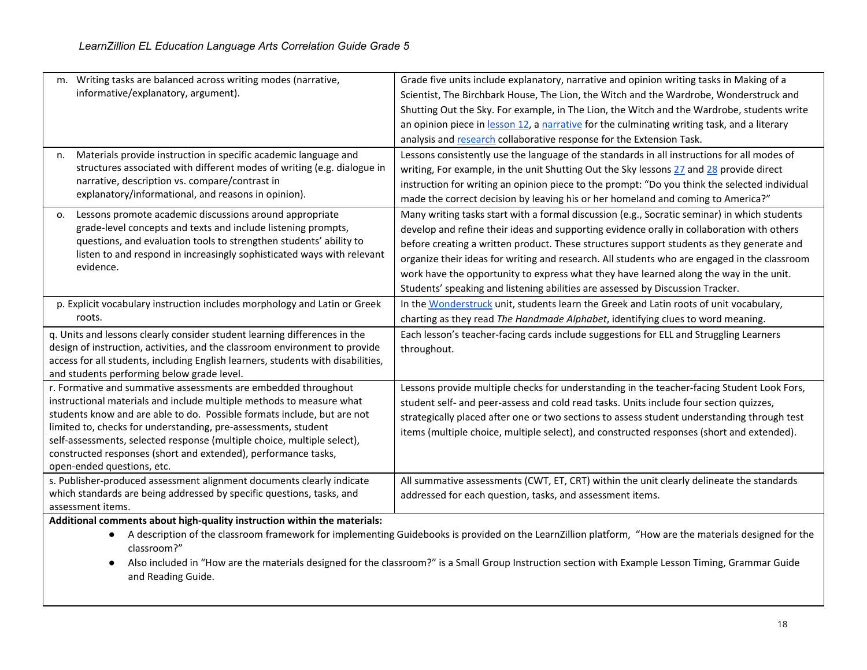| m. Writing tasks are balanced across writing modes (narrative,                                               | Grade five units include explanatory, narrative and opinion writing tasks in Making of a                                                               |
|--------------------------------------------------------------------------------------------------------------|--------------------------------------------------------------------------------------------------------------------------------------------------------|
| informative/explanatory, argument).                                                                          | Scientist, The Birchbark House, The Lion, the Witch and the Wardrobe, Wonderstruck and                                                                 |
|                                                                                                              | Shutting Out the Sky. For example, in The Lion, the Witch and the Wardrobe, students write                                                             |
|                                                                                                              | an opinion piece in lesson 12, a narrative for the culminating writing task, and a literary                                                            |
|                                                                                                              | analysis and research collaborative response for the Extension Task.                                                                                   |
| Materials provide instruction in specific academic language and<br>n.                                        | Lessons consistently use the language of the standards in all instructions for all modes of                                                            |
| structures associated with different modes of writing (e.g. dialogue in                                      | writing, For example, in the unit Shutting Out the Sky lessons 27 and 28 provide direct                                                                |
| narrative, description vs. compare/contrast in                                                               | instruction for writing an opinion piece to the prompt: "Do you think the selected individual                                                          |
| explanatory/informational, and reasons in opinion).                                                          | made the correct decision by leaving his or her homeland and coming to America?"                                                                       |
| Lessons promote academic discussions around appropriate<br>0.                                                | Many writing tasks start with a formal discussion (e.g., Socratic seminar) in which students                                                           |
| grade-level concepts and texts and include listening prompts,                                                | develop and refine their ideas and supporting evidence orally in collaboration with others                                                             |
| questions, and evaluation tools to strengthen students' ability to                                           | before creating a written product. These structures support students as they generate and                                                              |
| listen to and respond in increasingly sophisticated ways with relevant                                       | organize their ideas for writing and research. All students who are engaged in the classroom                                                           |
| evidence.                                                                                                    | work have the opportunity to express what they have learned along the way in the unit.                                                                 |
|                                                                                                              | Students' speaking and listening abilities are assessed by Discussion Tracker.                                                                         |
| p. Explicit vocabulary instruction includes morphology and Latin or Greek                                    | In the Wonderstruck unit, students learn the Greek and Latin roots of unit vocabulary,                                                                 |
| roots.                                                                                                       | charting as they read The Handmade Alphabet, identifying clues to word meaning.                                                                        |
| q. Units and lessons clearly consider student learning differences in the                                    | Each lesson's teacher-facing cards include suggestions for ELL and Struggling Learners                                                                 |
| design of instruction, activities, and the classroom environment to provide                                  | throughout.                                                                                                                                            |
| access for all students, including English learners, students with disabilities,                             |                                                                                                                                                        |
| and students performing below grade level.<br>r. Formative and summative assessments are embedded throughout | Lessons provide multiple checks for understanding in the teacher-facing Student Look Fors,                                                             |
| instructional materials and include multiple methods to measure what                                         | student self- and peer-assess and cold read tasks. Units include four section quizzes,                                                                 |
| students know and are able to do. Possible formats include, but are not                                      | strategically placed after one or two sections to assess student understanding through test                                                            |
| limited to, checks for understanding, pre-assessments, student                                               | items (multiple choice, multiple select), and constructed responses (short and extended).                                                              |
| self-assessments, selected response (multiple choice, multiple select),                                      |                                                                                                                                                        |
| constructed responses (short and extended), performance tasks,                                               |                                                                                                                                                        |
| open-ended questions, etc.                                                                                   |                                                                                                                                                        |
| s. Publisher-produced assessment alignment documents clearly indicate                                        | All summative assessments (CWT, ET, CRT) within the unit clearly delineate the standards                                                               |
| which standards are being addressed by specific questions, tasks, and<br>assessment items.                   | addressed for each question, tasks, and assessment items.                                                                                              |
| Additional comments about high-quality instruction within the materials:                                     |                                                                                                                                                        |
|                                                                                                              | A description of the classroom framework for implementing Guidebooks is provided on the LearnZillion platform, "How are the materials designed for the |
| classroom?"                                                                                                  |                                                                                                                                                        |

<sup>●</sup> Also included in "How are the materials designed for the classroom?" is a Small Group Instruction section with Example Lesson Timing, Grammar Guide and Reading Guide.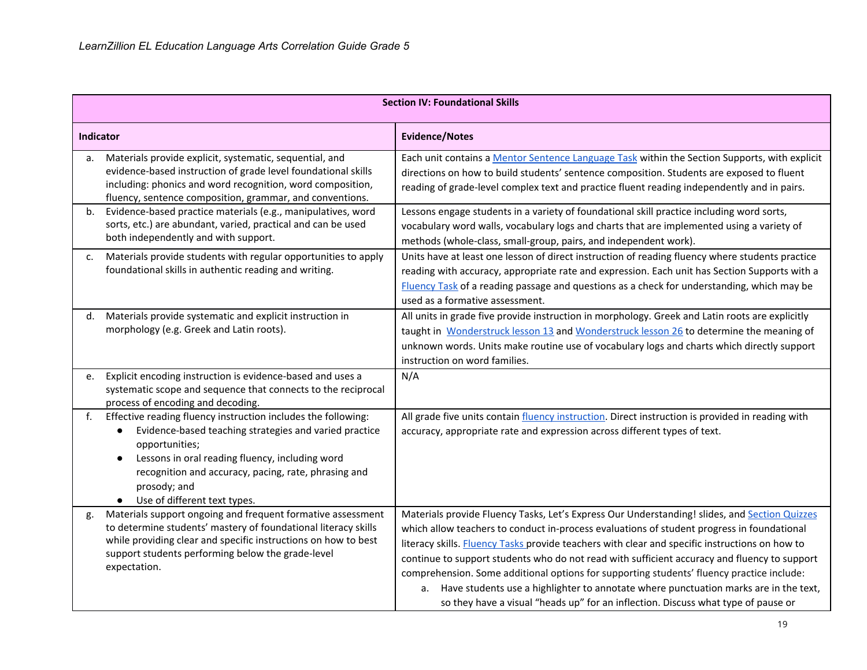|           | <b>Section IV: Foundational Skills</b>                                                                                                                                                                                                                                                                            |                                                                                                                                                                                                                                                                                                                                                                                                                                                                                                                                                                                                                                                                            |  |
|-----------|-------------------------------------------------------------------------------------------------------------------------------------------------------------------------------------------------------------------------------------------------------------------------------------------------------------------|----------------------------------------------------------------------------------------------------------------------------------------------------------------------------------------------------------------------------------------------------------------------------------------------------------------------------------------------------------------------------------------------------------------------------------------------------------------------------------------------------------------------------------------------------------------------------------------------------------------------------------------------------------------------------|--|
| Indicator |                                                                                                                                                                                                                                                                                                                   | <b>Evidence/Notes</b>                                                                                                                                                                                                                                                                                                                                                                                                                                                                                                                                                                                                                                                      |  |
| a.        | Materials provide explicit, systematic, sequential, and<br>evidence-based instruction of grade level foundational skills<br>including: phonics and word recognition, word composition,<br>fluency, sentence composition, grammar, and conventions.                                                                | Each unit contains a Mentor Sentence Language Task within the Section Supports, with explicit<br>directions on how to build students' sentence composition. Students are exposed to fluent<br>reading of grade-level complex text and practice fluent reading independently and in pairs.                                                                                                                                                                                                                                                                                                                                                                                  |  |
| b.        | Evidence-based practice materials (e.g., manipulatives, word<br>sorts, etc.) are abundant, varied, practical and can be used<br>both independently and with support.                                                                                                                                              | Lessons engage students in a variety of foundational skill practice including word sorts,<br>vocabulary word walls, vocabulary logs and charts that are implemented using a variety of<br>methods (whole-class, small-group, pairs, and independent work).                                                                                                                                                                                                                                                                                                                                                                                                                 |  |
| c.        | Materials provide students with regular opportunities to apply<br>foundational skills in authentic reading and writing.                                                                                                                                                                                           | Units have at least one lesson of direct instruction of reading fluency where students practice<br>reading with accuracy, appropriate rate and expression. Each unit has Section Supports with a<br>Fluency Task of a reading passage and questions as a check for understanding, which may be<br>used as a formative assessment.                                                                                                                                                                                                                                                                                                                                          |  |
| d.        | Materials provide systematic and explicit instruction in<br>morphology (e.g. Greek and Latin roots).                                                                                                                                                                                                              | All units in grade five provide instruction in morphology. Greek and Latin roots are explicitly<br>taught in Wonderstruck lesson 13 and Wonderstruck lesson 26 to determine the meaning of<br>unknown words. Units make routine use of vocabulary logs and charts which directly support<br>instruction on word families.                                                                                                                                                                                                                                                                                                                                                  |  |
| e.        | Explicit encoding instruction is evidence-based and uses a<br>systematic scope and sequence that connects to the reciprocal<br>process of encoding and decoding.                                                                                                                                                  | N/A                                                                                                                                                                                                                                                                                                                                                                                                                                                                                                                                                                                                                                                                        |  |
| f.        | Effective reading fluency instruction includes the following:<br>Evidence-based teaching strategies and varied practice<br>opportunities;<br>Lessons in oral reading fluency, including word<br>$\bullet$<br>recognition and accuracy, pacing, rate, phrasing and<br>prosody; and<br>Use of different text types. | All grade five units contain fluency instruction. Direct instruction is provided in reading with<br>accuracy, appropriate rate and expression across different types of text.                                                                                                                                                                                                                                                                                                                                                                                                                                                                                              |  |
| g.        | Materials support ongoing and frequent formative assessment<br>to determine students' mastery of foundational literacy skills<br>while providing clear and specific instructions on how to best<br>support students performing below the grade-level<br>expectation.                                              | Materials provide Fluency Tasks, Let's Express Our Understanding! slides, and Section Quizzes<br>which allow teachers to conduct in-process evaluations of student progress in foundational<br>literacy skills. Fluency Tasks provide teachers with clear and specific instructions on how to<br>continue to support students who do not read with sufficient accuracy and fluency to support<br>comprehension. Some additional options for supporting students' fluency practice include:<br>a. Have students use a highlighter to annotate where punctuation marks are in the text,<br>so they have a visual "heads up" for an inflection. Discuss what type of pause or |  |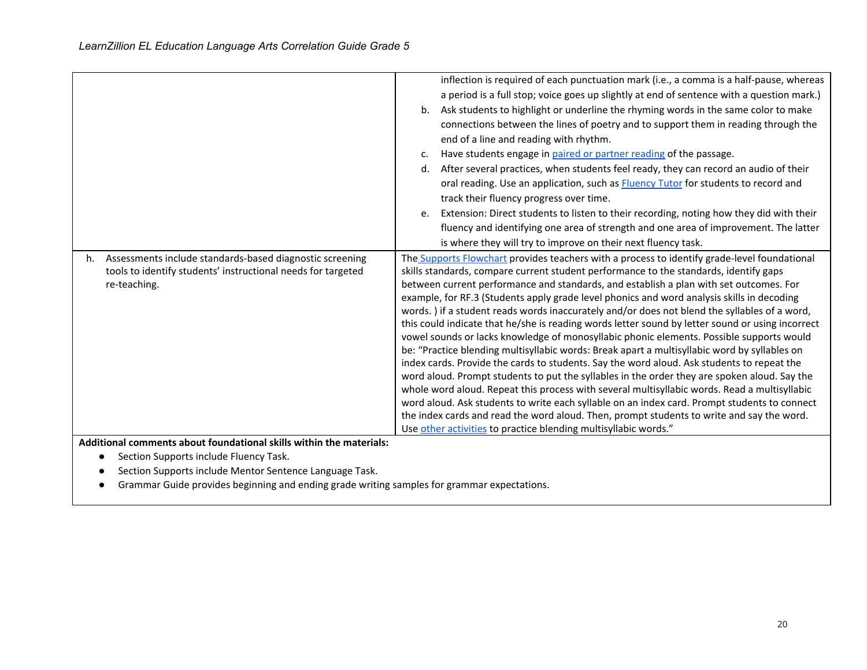|    |                                                                                                                                          | b.<br>c.<br>d.<br>e. | inflection is required of each punctuation mark (i.e., a comma is a half-pause, whereas<br>a period is a full stop; voice goes up slightly at end of sentence with a question mark.)<br>Ask students to highlight or underline the rhyming words in the same color to make<br>connections between the lines of poetry and to support them in reading through the<br>end of a line and reading with rhythm.<br>Have students engage in paired or partner reading of the passage.<br>After several practices, when students feel ready, they can record an audio of their<br>oral reading. Use an application, such as <b>Fluency Tutor</b> for students to record and<br>track their fluency progress over time.<br>Extension: Direct students to listen to their recording, noting how they did with their<br>fluency and identifying one area of strength and one area of improvement. The latter<br>is where they will try to improve on their next fluency task.                                                                                                                                                                                                                                                                                                                                                                         |
|----|------------------------------------------------------------------------------------------------------------------------------------------|----------------------|---------------------------------------------------------------------------------------------------------------------------------------------------------------------------------------------------------------------------------------------------------------------------------------------------------------------------------------------------------------------------------------------------------------------------------------------------------------------------------------------------------------------------------------------------------------------------------------------------------------------------------------------------------------------------------------------------------------------------------------------------------------------------------------------------------------------------------------------------------------------------------------------------------------------------------------------------------------------------------------------------------------------------------------------------------------------------------------------------------------------------------------------------------------------------------------------------------------------------------------------------------------------------------------------------------------------------------------------|
| h. | Assessments include standards-based diagnostic screening<br>tools to identify students' instructional needs for targeted<br>re-teaching. |                      | The Supports Flowchart provides teachers with a process to identify grade-level foundational<br>skills standards, compare current student performance to the standards, identify gaps<br>between current performance and standards, and establish a plan with set outcomes. For<br>example, for RF.3 (Students apply grade level phonics and word analysis skills in decoding<br>words.) if a student reads words inaccurately and/or does not blend the syllables of a word,<br>this could indicate that he/she is reading words letter sound by letter sound or using incorrect<br>vowel sounds or lacks knowledge of monosyllabic phonic elements. Possible supports would<br>be: "Practice blending multisyllabic words: Break apart a multisyllabic word by syllables on<br>index cards. Provide the cards to students. Say the word aloud. Ask students to repeat the<br>word aloud. Prompt students to put the syllables in the order they are spoken aloud. Say the<br>whole word aloud. Repeat this process with several multisyllabic words. Read a multisyllabic<br>word aloud. Ask students to write each syllable on an index card. Prompt students to connect<br>the index cards and read the word aloud. Then, prompt students to write and say the word.<br>Use other activities to practice blending multisyllabic words." |

**Additional comments about foundational skills within the materials:**

- Section Supports include Fluency Task.
- Section Supports include Mentor Sentence Language Task.
- Grammar Guide provides beginning and ending grade writing samples for grammar expectations.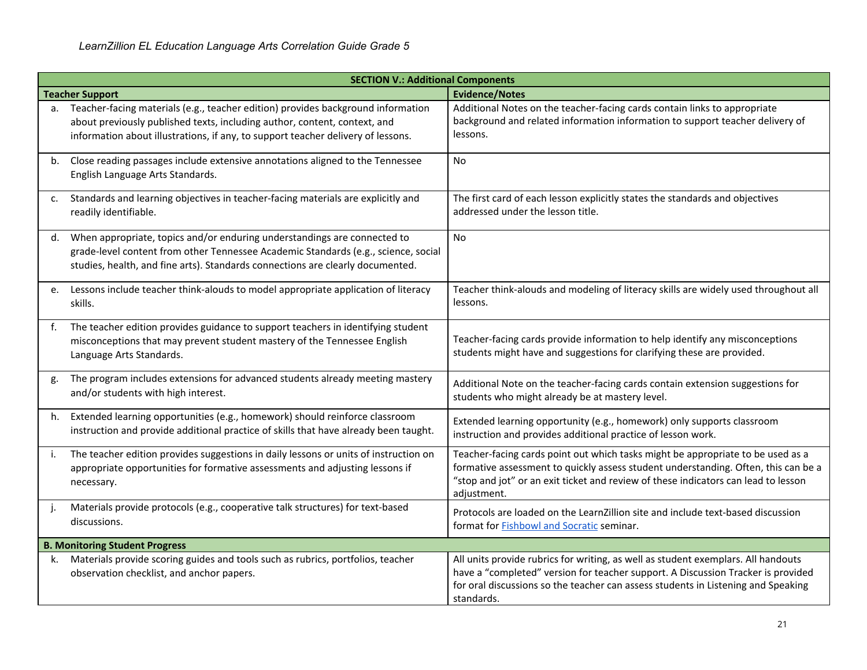|    | <b>SECTION V.: Additional Components</b>                                                                                                                                                                                                          |                                                                                                                                                                                                                                                                            |  |
|----|---------------------------------------------------------------------------------------------------------------------------------------------------------------------------------------------------------------------------------------------------|----------------------------------------------------------------------------------------------------------------------------------------------------------------------------------------------------------------------------------------------------------------------------|--|
|    | <b>Teacher Support</b>                                                                                                                                                                                                                            | <b>Evidence/Notes</b>                                                                                                                                                                                                                                                      |  |
| a. | Teacher-facing materials (e.g., teacher edition) provides background information<br>about previously published texts, including author, content, context, and<br>information about illustrations, if any, to support teacher delivery of lessons. | Additional Notes on the teacher-facing cards contain links to appropriate<br>background and related information information to support teacher delivery of<br>lessons.                                                                                                     |  |
| b. | Close reading passages include extensive annotations aligned to the Tennessee<br>English Language Arts Standards.                                                                                                                                 | <b>No</b>                                                                                                                                                                                                                                                                  |  |
| c. | Standards and learning objectives in teacher-facing materials are explicitly and<br>readily identifiable.                                                                                                                                         | The first card of each lesson explicitly states the standards and objectives<br>addressed under the lesson title.                                                                                                                                                          |  |
| d. | When appropriate, topics and/or enduring understandings are connected to<br>grade-level content from other Tennessee Academic Standards (e.g., science, social<br>studies, health, and fine arts). Standards connections are clearly documented.  | No                                                                                                                                                                                                                                                                         |  |
| e. | Lessons include teacher think-alouds to model appropriate application of literacy<br>skills.                                                                                                                                                      | Teacher think-alouds and modeling of literacy skills are widely used throughout all<br>lessons.                                                                                                                                                                            |  |
| f. | The teacher edition provides guidance to support teachers in identifying student<br>misconceptions that may prevent student mastery of the Tennessee English<br>Language Arts Standards.                                                          | Teacher-facing cards provide information to help identify any misconceptions<br>students might have and suggestions for clarifying these are provided.                                                                                                                     |  |
| g. | The program includes extensions for advanced students already meeting mastery<br>and/or students with high interest.                                                                                                                              | Additional Note on the teacher-facing cards contain extension suggestions for<br>students who might already be at mastery level.                                                                                                                                           |  |
| h. | Extended learning opportunities (e.g., homework) should reinforce classroom<br>instruction and provide additional practice of skills that have already been taught.                                                                               | Extended learning opportunity (e.g., homework) only supports classroom<br>instruction and provides additional practice of lesson work.                                                                                                                                     |  |
| j. | The teacher edition provides suggestions in daily lessons or units of instruction on<br>appropriate opportunities for formative assessments and adjusting lessons if<br>necessary.                                                                | Teacher-facing cards point out which tasks might be appropriate to be used as a<br>formative assessment to quickly assess student understanding. Often, this can be a<br>"stop and jot" or an exit ticket and review of these indicators can lead to lesson<br>adjustment. |  |
|    | Materials provide protocols (e.g., cooperative talk structures) for text-based<br>discussions.                                                                                                                                                    | Protocols are loaded on the LearnZillion site and include text-based discussion<br>format for <b>Fishbowl</b> and <b>Socratic</b> seminar.                                                                                                                                 |  |
|    | <b>B. Monitoring Student Progress</b>                                                                                                                                                                                                             |                                                                                                                                                                                                                                                                            |  |
| k. | Materials provide scoring guides and tools such as rubrics, portfolios, teacher<br>observation checklist, and anchor papers.                                                                                                                      | All units provide rubrics for writing, as well as student exemplars. All handouts<br>have a "completed" version for teacher support. A Discussion Tracker is provided<br>for oral discussions so the teacher can assess students in Listening and Speaking<br>standards.   |  |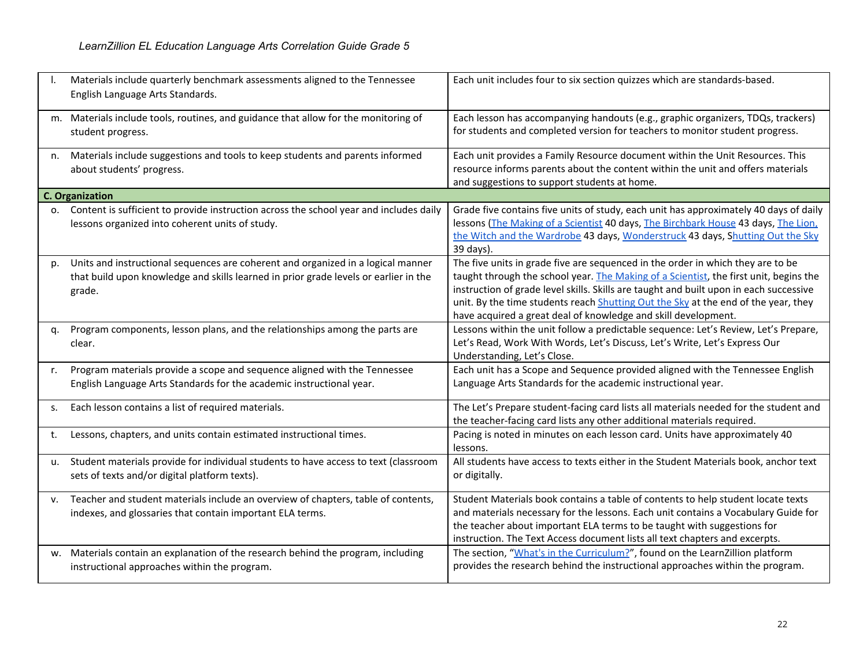|            | Materials include quarterly benchmark assessments aligned to the Tennessee<br>English Language Arts Standards.                                                                     | Each unit includes four to six section quizzes which are standards-based.                                                                                                                                                                                                                                                                                                                                                  |
|------------|------------------------------------------------------------------------------------------------------------------------------------------------------------------------------------|----------------------------------------------------------------------------------------------------------------------------------------------------------------------------------------------------------------------------------------------------------------------------------------------------------------------------------------------------------------------------------------------------------------------------|
|            | m. Materials include tools, routines, and guidance that allow for the monitoring of<br>student progress.                                                                           | Each lesson has accompanying handouts (e.g., graphic organizers, TDQs, trackers)<br>for students and completed version for teachers to monitor student progress.                                                                                                                                                                                                                                                           |
| n.         | Materials include suggestions and tools to keep students and parents informed<br>about students' progress.                                                                         | Each unit provides a Family Resource document within the Unit Resources. This<br>resource informs parents about the content within the unit and offers materials<br>and suggestions to support students at home.                                                                                                                                                                                                           |
|            | <b>C. Organization</b>                                                                                                                                                             |                                                                                                                                                                                                                                                                                                                                                                                                                            |
| $\Omega$ . | Content is sufficient to provide instruction across the school year and includes daily<br>lessons organized into coherent units of study.                                          | Grade five contains five units of study, each unit has approximately 40 days of daily<br>lessons (The Making of a Scientist 40 days, The Birchbark House 43 days, The Lion,<br>the Witch and the Wardrobe 43 days, Wonderstruck 43 days, Shutting Out the Sky<br>39 days).                                                                                                                                                 |
| p.         | Units and instructional sequences are coherent and organized in a logical manner<br>that build upon knowledge and skills learned in prior grade levels or earlier in the<br>grade. | The five units in grade five are sequenced in the order in which they are to be<br>taught through the school year. The Making of a Scientist, the first unit, begins the<br>instruction of grade level skills. Skills are taught and built upon in each successive<br>unit. By the time students reach Shutting Out the Sky at the end of the year, they<br>have acquired a great deal of knowledge and skill development. |
| α.         | Program components, lesson plans, and the relationships among the parts are<br>clear.                                                                                              | Lessons within the unit follow a predictable sequence: Let's Review, Let's Prepare,<br>Let's Read, Work With Words, Let's Discuss, Let's Write, Let's Express Our<br>Understanding, Let's Close.                                                                                                                                                                                                                           |
| r.         | Program materials provide a scope and sequence aligned with the Tennessee<br>English Language Arts Standards for the academic instructional year.                                  | Each unit has a Scope and Sequence provided aligned with the Tennessee English<br>Language Arts Standards for the academic instructional year.                                                                                                                                                                                                                                                                             |
| s.         | Each lesson contains a list of required materials.                                                                                                                                 | The Let's Prepare student-facing card lists all materials needed for the student and<br>the teacher-facing card lists any other additional materials required.                                                                                                                                                                                                                                                             |
| t.         | Lessons, chapters, and units contain estimated instructional times.                                                                                                                | Pacing is noted in minutes on each lesson card. Units have approximately 40<br>lessons.                                                                                                                                                                                                                                                                                                                                    |
| u.         | Student materials provide for individual students to have access to text (classroom<br>sets of texts and/or digital platform texts).                                               | All students have access to texts either in the Student Materials book, anchor text<br>or digitally.                                                                                                                                                                                                                                                                                                                       |
| v.         | Teacher and student materials include an overview of chapters, table of contents,<br>indexes, and glossaries that contain important ELA terms.                                     | Student Materials book contains a table of contents to help student locate texts<br>and materials necessary for the lessons. Each unit contains a Vocabulary Guide for<br>the teacher about important ELA terms to be taught with suggestions for<br>instruction. The Text Access document lists all text chapters and excerpts.                                                                                           |
|            | w. Materials contain an explanation of the research behind the program, including<br>instructional approaches within the program.                                                  | The section, "What's in the Curriculum?", found on the LearnZillion platform<br>provides the research behind the instructional approaches within the program.                                                                                                                                                                                                                                                              |